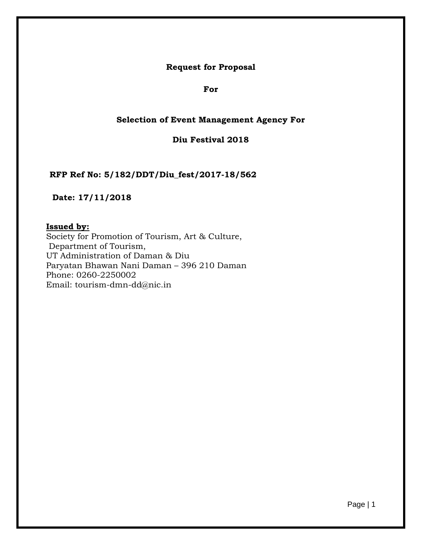**Request for Proposal** 

**For**

# **Selection of Event Management Agency For**

**Diu Festival 2018**

**RFP Ref No: 5/182/DDT/Diu\_fest/2017-18/562**

**Date: 17/11/2018**

#### **Issued by:**

Society for Promotion of Tourism, Art & Culture, Department of Tourism, UT Administration of Daman & Diu Paryatan Bhawan Nani Daman – 396 210 Daman Phone: 0260-2250002 Ema[il: tourism-dmn-dd@nic.in](mailto:tourism-dmn-dd@nic.in)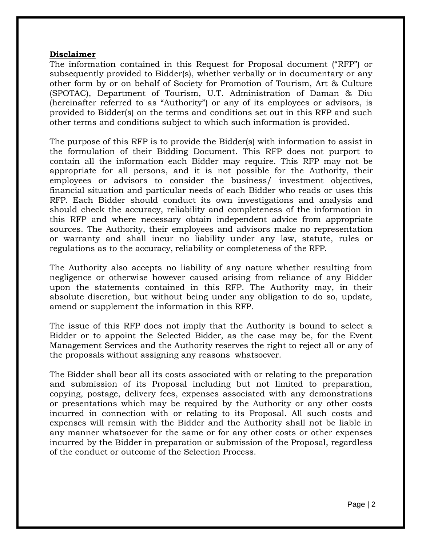#### **Disclaimer**

The information contained in this Request for Proposal document ("RFP") or subsequently provided to Bidder(s), whether verbally or in documentary or any other form by or on behalf of Society for Promotion of Tourism, Art & Culture (SPOTAC), Department of Tourism, U.T. Administration of Daman & Diu (hereinafter referred to as "Authority") or any of its employees or advisors, is provided to Bidder(s) on the terms and conditions set out in this RFP and such other terms and conditions subject to which such information is provided.

The purpose of this RFP is to provide the Bidder(s) with information to assist in the formulation of their Bidding Document. This RFP does not purport to contain all the information each Bidder may require. This RFP may not be appropriate for all persons, and it is not possible for the Authority, their employees or advisors to consider the business/ investment objectives, financial situation and particular needs of each Bidder who reads or uses this RFP. Each Bidder should conduct its own investigations and analysis and should check the accuracy, reliability and completeness of the information in this RFP and where necessary obtain independent advice from appropriate sources. The Authority, their employees and advisors make no representation or warranty and shall incur no liability under any law, statute, rules or regulations as to the accuracy, reliability or completeness of the RFP.

The Authority also accepts no liability of any nature whether resulting from negligence or otherwise however caused arising from reliance of any Bidder upon the statements contained in this RFP. The Authority may, in their absolute discretion, but without being under any obligation to do so, update, amend or supplement the information in this RFP.

The issue of this RFP does not imply that the Authority is bound to select a Bidder or to appoint the Selected Bidder, as the case may be, for the Event Management Services and the Authority reserves the right to reject all or any of the proposals without assigning any reasons whatsoever.

The Bidder shall bear all its costs associated with or relating to the preparation and submission of its Proposal including but not limited to preparation, copying, postage, delivery fees, expenses associated with any demonstrations or presentations which may be required by the Authority or any other costs incurred in connection with or relating to its Proposal. All such costs and expenses will remain with the Bidder and the Authority shall not be liable in any manner whatsoever for the same or for any other costs or other expenses incurred by the Bidder in preparation or submission of the Proposal, regardless of the conduct or outcome of the Selection Process.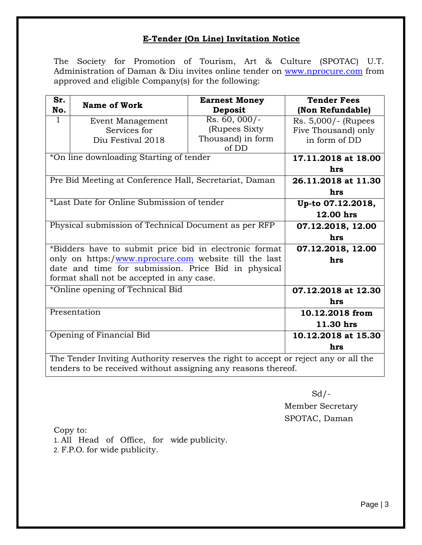# **E-Tender (On Line) Invitation Notice**

The Society for Promotion of Tourism, Art & Culture (SPOTAC) U.T. Administration of Daman & Diu invites online tender on [www.nprocure.com](http://www.nprocure.com/) from approved and eligible Company(s) for the following:

| Sr. | <b>Name of Work</b>                                                                 | <b>Earnest Money</b> | <b>Tender Fees</b>  |  |  |  |  |
|-----|-------------------------------------------------------------------------------------|----------------------|---------------------|--|--|--|--|
| No. |                                                                                     | <b>Deposit</b>       | (Non Refundable)    |  |  |  |  |
| 1   | Event Management                                                                    | $Rs. 60, 000/-$      | Rs. 5,000/- (Rupees |  |  |  |  |
|     | Services for                                                                        | (Rupees Sixty)       | Five Thousand) only |  |  |  |  |
|     | Diu Festival 2018                                                                   | Thousand) in form    | in form of DD       |  |  |  |  |
|     |                                                                                     | of DD                |                     |  |  |  |  |
|     | *On line downloading Starting of tender                                             |                      | 17.11.2018 at 18.00 |  |  |  |  |
|     |                                                                                     |                      | hrs                 |  |  |  |  |
|     | Pre Bid Meeting at Conference Hall, Secretariat, Daman                              |                      | 26.11.2018 at 11.30 |  |  |  |  |
|     |                                                                                     |                      | hrs                 |  |  |  |  |
|     | *Last Date for Online Submission of tender                                          |                      | Up-to 07.12.2018,   |  |  |  |  |
|     |                                                                                     |                      | 12.00 hrs           |  |  |  |  |
|     | Physical submission of Technical Document as per RFP                                |                      | 07.12.2018, 12.00   |  |  |  |  |
|     |                                                                                     |                      | hrs                 |  |  |  |  |
|     | *Bidders have to submit price bid in electronic format                              |                      | 07.12.2018, 12.00   |  |  |  |  |
|     | only on https:/www.nprocure.com website till the last                               |                      | hrs                 |  |  |  |  |
|     | date and time for submission. Price Bid in physical                                 |                      |                     |  |  |  |  |
|     | format shall not be accepted in any case.                                           |                      |                     |  |  |  |  |
|     | *Online opening of Technical Bid                                                    |                      | 07.12.2018 at 12.30 |  |  |  |  |
|     |                                                                                     |                      | hrs                 |  |  |  |  |
|     | Presentation                                                                        |                      | 10.12.2018 from     |  |  |  |  |
|     |                                                                                     |                      | 11.30 hrs           |  |  |  |  |
|     | Opening of Financial Bid                                                            |                      | 10.12.2018 at 15.30 |  |  |  |  |
|     |                                                                                     |                      | hrs                 |  |  |  |  |
|     | The Tender Inviting Authority reserves the right to accept or reject any or all the |                      |                     |  |  |  |  |
|     | tenders to be received without assigning any reasons thereof.                       |                      |                     |  |  |  |  |

 $Sd$  /-

Member Secretary SPOTAC, Daman

Copy to:

- 1. All Head of Office, for wide publicity.
- 2. F.P.O. for wide publicity.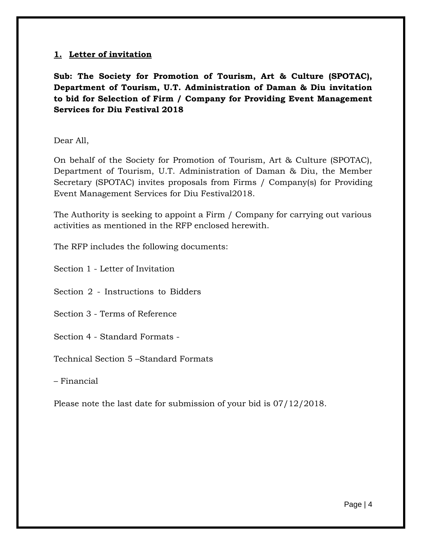# **1. Letter of invitation**

**Sub: The Society for Promotion of Tourism, Art & Culture (SPOTAC), Department of Tourism, U.T. Administration of Daman & Diu invitation to bid for Selection of Firm / Company for Providing Event Management Services for Diu Festival 2018**

Dear All,

On behalf of the Society for Promotion of Tourism, Art & Culture (SPOTAC), Department of Tourism, U.T. Administration of Daman & Diu, the Member Secretary (SPOTAC) invites proposals from Firms / Company(s) for Providing Event Management Services for Diu Festival2018.

The Authority is seeking to appoint a Firm / Company for carrying out various activities as mentioned in the RFP enclosed herewith.

The RFP includes the following documents:

Section 1 - Letter of Invitation

Section 2 - Instructions to Bidders

Section 3 - Terms of Reference

Section 4 - Standard Formats -

Technical Section 5 –Standard Formats

– Financial

Please note the last date for submission of your bid is 07/12/2018.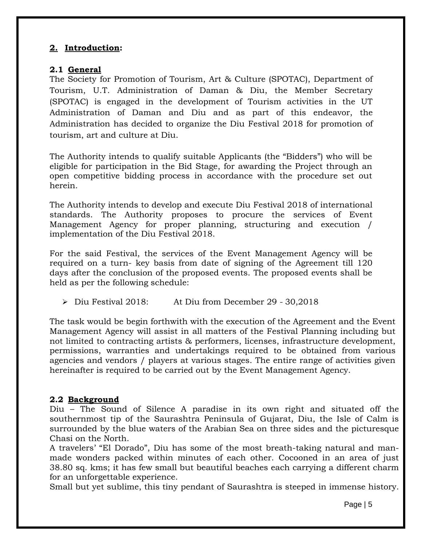# **2. Introduction:**

# **2.1 General**

The Society for Promotion of Tourism, Art & Culture (SPOTAC), Department of Tourism, U.T. Administration of Daman & Diu, the Member Secretary (SPOTAC) is engaged in the development of Tourism activities in the UT Administration of Daman and Diu and as part of this endeavor, the Administration has decided to organize the Diu Festival 2018 for promotion of tourism, art and culture at Diu.

The Authority intends to qualify suitable Applicants (the "Bidders") who will be eligible for participation in the Bid Stage, for awarding the Project through an open competitive bidding process in accordance with the procedure set out herein.

The Authority intends to develop and execute Diu Festival 2018 of international standards. The Authority proposes to procure the services of Event Management Agency for proper planning, structuring and execution / implementation of the Diu Festival 2018.

For the said Festival, the services of the Event Management Agency will be required on a turn- key basis from date of signing of the Agreement till 120 days after the conclusion of the proposed events. The proposed events shall be held as per the following schedule:

Diu Festival 2018: At Diu from December 29 - 30,2018

The task would be begin forthwith with the execution of the Agreement and the Event Management Agency will assist in all matters of the Festival Planning including but not limited to contracting artists & performers, licenses, infrastructure development, permissions, warranties and undertakings required to be obtained from various agencies and vendors / players at various stages. The entire range of activities given hereinafter is required to be carried out by the Event Management Agency.

# **2.2 Background**

Diu – The Sound of Silence A paradise in its own right and situated off the southernmost tip of the Saurashtra Peninsula of Gujarat, Diu, the Isle of Calm is surrounded by the blue waters of the Arabian Sea on three sides and the picturesque Chasi on the North.

A travelers' "El Dorado", Diu has some of the most breath-taking natural and manmade wonders packed within minutes of each other. Cocooned in an area of just 38.80 sq. kms; it has few small but beautiful beaches each carrying a different charm for an unforgettable experience.

Small but yet sublime, this tiny pendant of Saurashtra is steeped in immense history.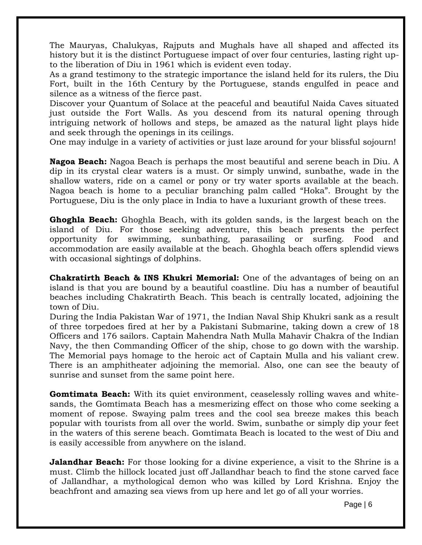The Mauryas, Chalukyas, Rajputs and Mughals have all shaped and affected its history but it is the distinct Portuguese impact of over four centuries, lasting right upto the liberation of Diu in 1961 which is evident even today.

As a grand testimony to the strategic importance the island held for its rulers, the Diu Fort, built in the 16th Century by the Portuguese, stands engulfed in peace and silence as a witness of the fierce past.

Discover your Quantum of Solace at the peaceful and beautiful Naida Caves situated just outside the Fort Walls. As you descend from its natural opening through intriguing network of hollows and steps, be amazed as the natural light plays hide and seek through the openings in its ceilings.

One may indulge in a variety of activities or just laze around for your blissful sojourn!

**Nagoa Beach:** Nagoa Beach is perhaps the most beautiful and serene beach in Diu. A dip in its crystal clear waters is a must. Or simply unwind, sunbathe, wade in the shallow waters, ride on a camel or pony or try water sports available at the beach. Nagoa beach is home to a peculiar branching palm called "Hoka". Brought by the Portuguese, Diu is the only place in India to have a luxuriant growth of these trees.

**Ghoghla Beach:** Ghoghla Beach, with its golden sands, is the largest beach on the island of Diu. For those seeking adventure, this beach presents the perfect opportunity for swimming, sunbathing, parasailing or surfing. Food and accommodation are easily available at the beach. Ghoghla beach offers splendid views with occasional sightings of dolphins.

**Chakratirth Beach & INS Khukri Memorial:** One of the advantages of being on an island is that you are bound by a beautiful coastline. Diu has a number of beautiful beaches including Chakratirth Beach. This beach is centrally located, adjoining the town of Diu.

During the India Pakistan War of 1971, the Indian Naval Ship Khukri sank as a result of three torpedoes fired at her by a Pakistani Submarine, taking down a crew of 18 Officers and 176 sailors. Captain Mahendra Nath Mulla Mahavir Chakra of the Indian Navy, the then Commanding Officer of the ship, chose to go down with the warship. The Memorial pays homage to the heroic act of Captain Mulla and his valiant crew. There is an amphitheater adjoining the memorial. Also, one can see the beauty of sunrise and sunset from the same point here.

**Gomtimata Beach:** With its quiet environment, ceaselessly rolling waves and whitesands, the Gomtimata Beach has a mesmerizing effect on those who come seeking a moment of repose. Swaying palm trees and the cool sea breeze makes this beach popular with tourists from all over the world. Swim, sunbathe or simply dip your feet in the waters of this serene beach. Gomtimata Beach is located to the west of Diu and is easily accessible from anywhere on the island.

**Jalandhar Beach:** For those looking for a divine experience, a visit to the Shrine is a must. Climb the hillock located just off Jallandhar beach to find the stone carved face of Jallandhar, a mythological demon who was killed by Lord Krishna. Enjoy the beachfront and amazing sea views from up here and let go of all your worries.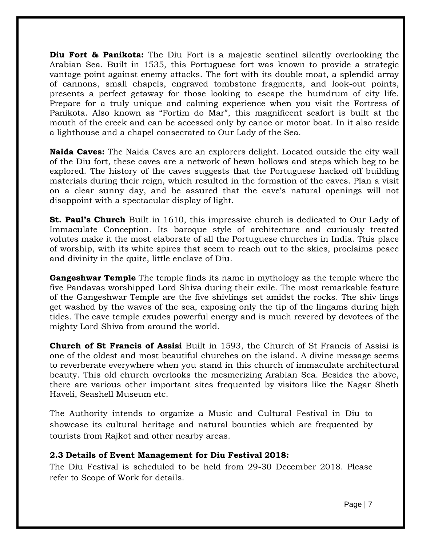**Diu Fort & Panikota:** The Diu Fort is a majestic sentinel silently overlooking the Arabian Sea. Built in 1535, this Portuguese fort was known to provide a strategic vantage point against enemy attacks. The fort with its double moat, a splendid array of cannons, small chapels, engraved tombstone fragments, and look-out points, presents a perfect getaway for those looking to escape the humdrum of city life. Prepare for a truly unique and calming experience when you visit the Fortress of Panikota. Also known as "Fortim do Mar", this magnificent seafort is built at the mouth of the creek and can be accessed only by canoe or motor boat. In it also reside a lighthouse and a chapel consecrated to Our Lady of the Sea.

**Naida Caves:** The Naida Caves are an explorers delight. Located outside the city wall of the Diu fort, these caves are a network of hewn hollows and steps which beg to be explored. The history of the caves suggests that the Portuguese hacked off building materials during their reign, which resulted in the formation of the caves. Plan a visit on a clear sunny day, and be assured that the cave's natural openings will not disappoint with a spectacular display of light.

**St. Paul's Church** Built in 1610, this impressive church is dedicated to Our Lady of Immaculate Conception. Its baroque style of architecture and curiously treated volutes make it the most elaborate of all the Portuguese churches in India. This place of worship, with its white spires that seem to reach out to the skies, proclaims peace and divinity in the quite, little enclave of Diu.

**Gangeshwar Temple** The temple finds its name in mythology as the temple where the five Pandavas worshipped Lord Shiva during their exile. The most remarkable feature of the Gangeshwar Temple are the five shivlings set amidst the rocks. The shiv lings get washed by the waves of the sea, exposing only the tip of the lingams during high tides. The cave temple exudes powerful energy and is much revered by devotees of the mighty Lord Shiva from around the world.

**Church of St Francis of Assisi** Built in 1593, the Church of St Francis of Assisi is one of the oldest and most beautiful churches on the island. A divine message seems to reverberate everywhere when you stand in this church of immaculate architectural beauty. This old church overlooks the mesmerizing Arabian Sea. Besides the above, there are various other important sites frequented by visitors like the Nagar Sheth Haveli, Seashell Museum etc.

The Authority intends to organize a Music and Cultural Festival in Diu to showcase its cultural heritage and natural bounties which are frequented by tourists from Rajkot and other nearby areas.

#### **2.3 Details of Event Management for Diu Festival 2018:**

The Diu Festival is scheduled to be held from 29-30 December 2018. Please refer to Scope of Work for details.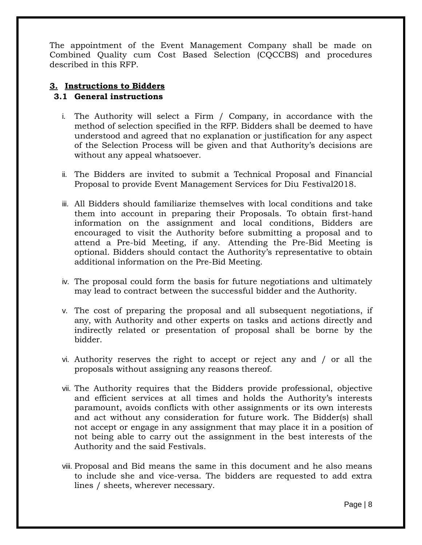The appointment of the Event Management Company shall be made on Combined Quality cum Cost Based Selection (CQCCBS) and procedures described in this RFP.

# **3. Instructions to Bidders**

# **3.1 General instructions**

- i. The Authority will select a Firm / Company, in accordance with the method of selection specified in the RFP. Bidders shall be deemed to have understood and agreed that no explanation or justification for any aspect of the Selection Process will be given and that Authority's decisions are without any appeal whatsoever.
- ii. The Bidders are invited to submit a Technical Proposal and Financial Proposal to provide Event Management Services for Diu Festival2018.
- iii. All Bidders should familiarize themselves with local conditions and take them into account in preparing their Proposals. To obtain first-hand information on the assignment and local conditions, Bidders are encouraged to visit the Authority before submitting a proposal and to attend a Pre-bid Meeting, if any. Attending the Pre-Bid Meeting is optional. Bidders should contact the Authority's representative to obtain additional information on the Pre-Bid Meeting.
- iv. The proposal could form the basis for future negotiations and ultimately may lead to contract between the successful bidder and the Authority.
- v. The cost of preparing the proposal and all subsequent negotiations, if any, with Authority and other experts on tasks and actions directly and indirectly related or presentation of proposal shall be borne by the bidder.
- vi. Authority reserves the right to accept or reject any and / or all the proposals without assigning any reasons thereof.
- vii. The Authority requires that the Bidders provide professional, objective and efficient services at all times and holds the Authority's interests paramount, avoids conflicts with other assignments or its own interests and act without any consideration for future work. The Bidder(s) shall not accept or engage in any assignment that may place it in a position of not being able to carry out the assignment in the best interests of the Authority and the said Festivals.
- viii. Proposal and Bid means the same in this document and he also means to include she and vice-versa. The bidders are requested to add extra lines / sheets, wherever necessary.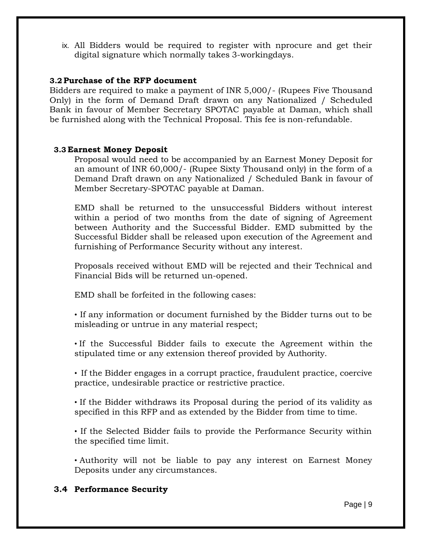ix. All Bidders would be required to register with nprocure and get their digital signature which normally takes 3-workingdays.

#### **3.2 Purchase of the RFP document**

Bidders are required to make a payment of INR 5,000/- (Rupees Five Thousand Only) in the form of Demand Draft drawn on any Nationalized / Scheduled Bank in favour of Member Secretary SPOTAC payable at Daman, which shall be furnished along with the Technical Proposal. This fee is non-refundable.

# **3.3 Earnest Money Deposit**

Proposal would need to be accompanied by an Earnest Money Deposit for an amount of INR 60,000/- (Rupee Sixty Thousand only) in the form of a Demand Draft drawn on any Nationalized / Scheduled Bank in favour of Member Secretary-SPOTAC payable at Daman.

EMD shall be returned to the unsuccessful Bidders without interest within a period of two months from the date of signing of Agreement between Authority and the Successful Bidder. EMD submitted by the Successful Bidder shall be released upon execution of the Agreement and furnishing of Performance Security without any interest.

Proposals received without EMD will be rejected and their Technical and Financial Bids will be returned un-opened.

EMD shall be forfeited in the following cases:

• If any information or document furnished by the Bidder turns out to be misleading or untrue in any material respect;

• If the Successful Bidder fails to execute the Agreement within the stipulated time or any extension thereof provided by Authority.

• If the Bidder engages in a corrupt practice, fraudulent practice, coercive practice, undesirable practice or restrictive practice.

• If the Bidder withdraws its Proposal during the period of its validity as specified in this RFP and as extended by the Bidder from time to time.

• If the Selected Bidder fails to provide the Performance Security within the specified time limit.

• Authority will not be liable to pay any interest on Earnest Money Deposits under any circumstances.

# **3.4 Performance Security**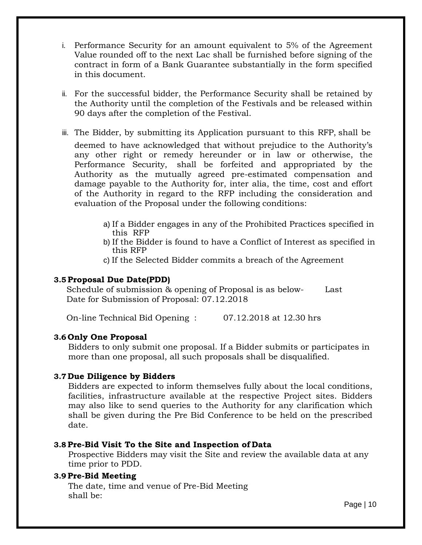- i. Performance Security for an amount equivalent to 5% of the Agreement Value rounded off to the next Lac shall be furnished before signing of the contract in form of a Bank Guarantee substantially in the form specified in this document.
- ii. For the successful bidder, the Performance Security shall be retained by the Authority until the completion of the Festivals and be released within 90 days after the completion of the Festival.
- iii. The Bidder, by submitting its Application pursuant to this RFP, shall be deemed to have acknowledged that without prejudice to the Authority's any other right or remedy hereunder or in law or otherwise, the Performance Security, shall be forfeited and appropriated by the Authority as the mutually agreed pre-estimated compensation and damage payable to the Authority for, inter alia, the time, cost and effort of the Authority in regard to the RFP including the consideration and evaluation of the Proposal under the following conditions:
	- a) If a Bidder engages in any of the Prohibited Practices specified in this RFP
	- b) If the Bidder is found to have a Conflict of Interest as specified in this RFP
	- c) If the Selected Bidder commits a breach of the Agreement

#### **3.5 Proposal Due Date(PDD)**

Schedule of submission & opening of Proposal is as below- Last Date for Submission of Proposal: 07.12.2018

On-line Technical Bid Opening : 07.12.2018 at 12.30 hrs

#### **3.6 Only One Proposal**

Bidders to only submit one proposal. If a Bidder submits or participates in more than one proposal, all such proposals shall be disqualified.

#### **3.7 Due Diligence by Bidders**

Bidders are expected to inform themselves fully about the local conditions, facilities, infrastructure available at the respective Project sites. Bidders may also like to send queries to the Authority for any clarification which shall be given during the Pre Bid Conference to be held on the prescribed date.

# **3.8 Pre-Bid Visit To the Site and Inspection of Data**

Prospective Bidders may visit the Site and review the available data at any time prior to PDD.

# **3.9 Pre-Bid Meeting**

The date, time and venue of Pre-Bid Meeting shall be: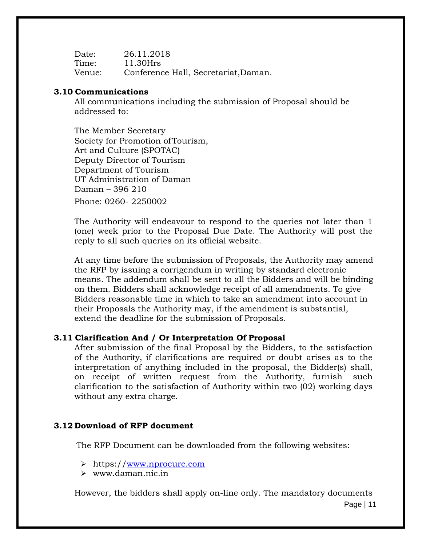Date: 26.11.2018 Time: 11.30Hrs Venue: Conference Hall, Secretariat,Daman.

#### **3.10 Communications**

All communications including the submission of Proposal should be addressed to:

The Member Secretary Society for Promotion ofTourism, Art and Culture (SPOTAC) Deputy Director of Tourism Department of Tourism UT Administration of Daman Daman – 396 210 Phone: 0260- 2250002

The Authority will endeavour to respond to the queries not later than 1 (one) week prior to the Proposal Due Date. The Authority will post the reply to all such queries on its official website.

At any time before the submission of Proposals, the Authority may amend the RFP by issuing a corrigendum in writing by standard electronic means. The addendum shall be sent to all the Bidders and will be binding on them. Bidders shall acknowledge receipt of all amendments. To give Bidders reasonable time in which to take an amendment into account in their Proposals the Authority may, if the amendment is substantial, extend the deadline for the submission of Proposals.

#### **3.11 Clarification And / Or Interpretation Of Proposal**

After submission of the final Proposal by the Bidders, to the satisfaction of the Authority, if clarifications are required or doubt arises as to the interpretation of anything included in the proposal, the Bidder(s) shall, on receipt of written request from the Authority, furnish such clarification to the satisfaction of Authority within two (02) working days without any extra charge.

#### **3.12 Download of RFP document**

The RFP Document can be downloaded from the following websites:

- https:/[/www.nprocure.com](http://www.nprocure.com/)
- [www.daman.nic.in](http://www.daman.nic.in/)

However, the bidders shall apply on-line only. The mandatory documents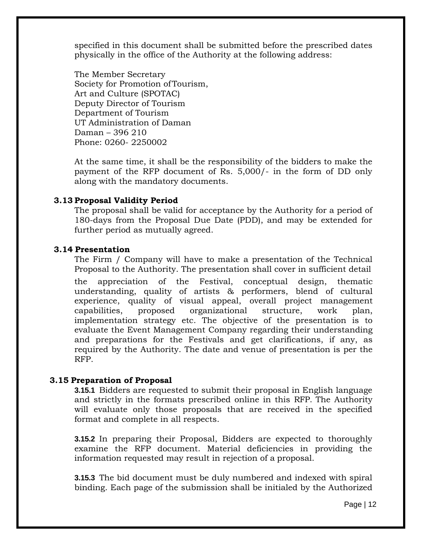specified in this document shall be submitted before the prescribed dates physically in the office of the Authority at the following address:

The Member Secretary Society for Promotion ofTourism, Art and Culture (SPOTAC) Deputy Director of Tourism Department of Tourism UT Administration of Daman Daman – 396 210 Phone: 0260- 2250002

At the same time, it shall be the responsibility of the bidders to make the payment of the RFP document of Rs. 5,000/- in the form of DD only along with the mandatory documents.

#### **3.13 Proposal Validity Period**

The proposal shall be valid for acceptance by the Authority for a period of 180-days from the Proposal Due Date (PDD), and may be extended for further period as mutually agreed.

#### **3.14 Presentation**

The Firm / Company will have to make a presentation of the Technical Proposal to the Authority. The presentation shall cover in sufficient detail

the appreciation of the Festival, conceptual design, thematic understanding, quality of artists & performers, blend of cultural experience, quality of visual appeal, overall project management capabilities, proposed organizational structure, work plan, implementation strategy etc. The objective of the presentation is to evaluate the Event Management Company regarding their understanding and preparations for the Festivals and get clarifications, if any, as required by the Authority. The date and venue of presentation is per the RFP.

#### **3.15 Preparation of Proposal**

**3.15.1** Bidders are requested to submit their proposal in English language and strictly in the formats prescribed online in this RFP. The Authority will evaluate only those proposals that are received in the specified format and complete in all respects.

**3.15.2** In preparing their Proposal, Bidders are expected to thoroughly examine the RFP document. Material deficiencies in providing the information requested may result in rejection of a proposal.

**3.15.3** The bid document must be duly numbered and indexed with spiral binding. Each page of the submission shall be initialed by the Authorized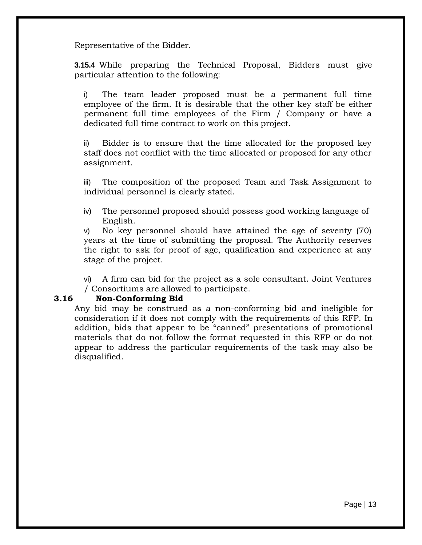Representative of the Bidder.

**3.15.4** While preparing the Technical Proposal, Bidders must give particular attention to the following:

i) The team leader proposed must be a permanent full time employee of the firm. It is desirable that the other key staff be either permanent full time employees of the Firm / Company or have a dedicated full time contract to work on this project.

ii) Bidder is to ensure that the time allocated for the proposed key staff does not conflict with the time allocated or proposed for any other assignment.

iii) The composition of the proposed Team and Task Assignment to individual personnel is clearly stated.

iv) The personnel proposed should possess good working language of English.

v) No key personnel should have attained the age of seventy (70) years at the time of submitting the proposal. The Authority reserves the right to ask for proof of age, qualification and experience at any stage of the project.

vi) A firm can bid for the project as a sole consultant. Joint Ventures / Consortiums are allowed to participate.

#### **3.16 Non-Conforming Bid**

Any bid may be construed as a non-conforming bid and ineligible for consideration if it does not comply with the requirements of this RFP. In addition, bids that appear to be "canned" presentations of promotional materials that do not follow the format requested in this RFP or do not appear to address the particular requirements of the task may also be disqualified.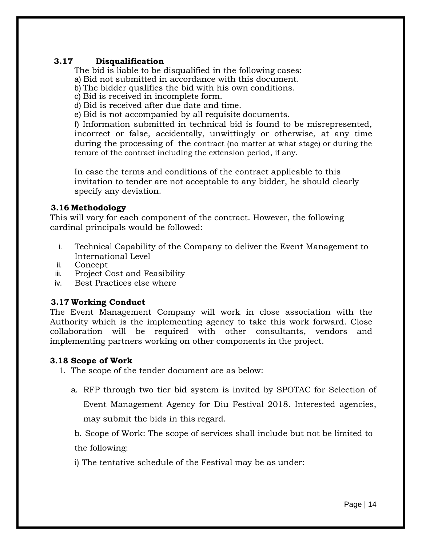# **3.17 Disqualification**

The bid is liable to be disqualified in the following cases:

a) Bid not submitted in accordance with this document.

b) The bidder qualifies the bid with his own conditions.

c) Bid is received in incomplete form.

d) Bid is received after due date and time.

e) Bid is not accompanied by all requisite documents.

f) Information submitted in technical bid is found to be misrepresented, incorrect or false, accidentally, unwittingly or otherwise, at any time during the processing of the contract (no matter at what stage) or during the tenure of the contract including the extension period, if any.

In case the terms and conditions of the contract applicable to this invitation to tender are not acceptable to any bidder, he should clearly specify any deviation.

# **3.16 Methodology**

This will vary for each component of the contract. However, the following cardinal principals would be followed:

- i. Technical Capability of the Company to deliver the Event Management to International Level
- ii. Concept
- iii. Project Cost and Feasibility
- iv. Best Practices else where

# **3.17 Working Conduct**

The Event Management Company will work in close association with the Authority which is the implementing agency to take this work forward. Close collaboration will be required with other consultants, vendors and implementing partners working on other components in the project.

#### **3.18 Scope of Work**

1. The scope of the tender document are as below:

a. RFP through two tier bid system is invited by SPOTAC for Selection of Event Management Agency for Diu Festival 2018. Interested agencies, may submit the bids in this regard.

b. Scope of Work: The scope of services shall include but not be limited to the following:

i) The tentative schedule of the Festival may be as under: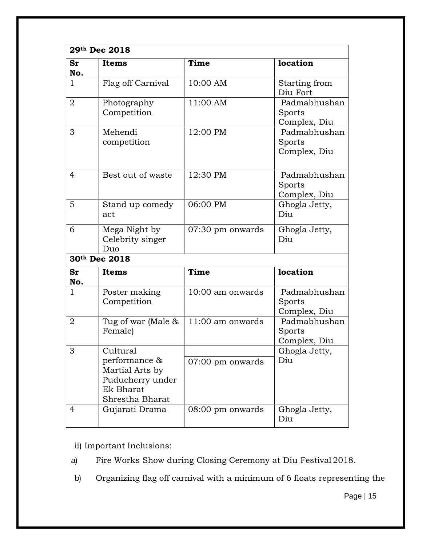|                | 29th Dec 2018                                                                                           |                  |                                        |
|----------------|---------------------------------------------------------------------------------------------------------|------------------|----------------------------------------|
| Sr<br>No.      | <b>Items</b>                                                                                            | Time             | location                               |
| $\mathbf{1}$   | Flag off Carnival                                                                                       | 10:00 AM         | Starting from<br>Diu Fort              |
| $\overline{2}$ | Photography<br>Competition                                                                              | 11:00 AM         | Padmabhushan<br>Sports<br>Complex, Diu |
| 3              | Mehendi<br>competition                                                                                  | 12:00 PM         | Padmabhushan<br>Sports<br>Complex, Diu |
| 4              | Best out of waste                                                                                       | 12:30 PM         | Padmabhushan<br>Sports<br>Complex, Diu |
| 5              | Stand up comedy<br>act                                                                                  | 06:00 PM         | Ghogla Jetty,<br>Diu                   |
| 6              | Mega Night by<br>Celebrity singer<br>Duo                                                                | 07:30 pm onwards | Ghogla Jetty,<br>Diu                   |
|                | 30th Dec 2018                                                                                           |                  |                                        |
| Sr<br>No.      | <b>Items</b>                                                                                            | Time             | location                               |
| 1              | Poster making<br>Competition                                                                            | 10:00 am onwards | Padmabhushan<br>Sports<br>Complex, Diu |
| 2              | Tug of war (Male &<br>Female)                                                                           | 11:00 am onwards | Padmabhushan<br>Sports<br>Complex, Diu |
| 3              | Cultural<br>performance &<br>Martial Arts by<br>Puducherry under<br><b>Ek Bharat</b><br>Shrestha Bharat | 07:00 pm onwards | Ghogla Jetty,<br>Diu                   |
| 4              | Gujarati Drama                                                                                          | 08:00 pm onwards | Ghogla Jetty,<br>Diu                   |

ii) Important Inclusions:

a) Fire Works Show during Closing Ceremony at Diu Festival 2018.

b) Organizing flag off carnival with a minimum of 6 floats representing the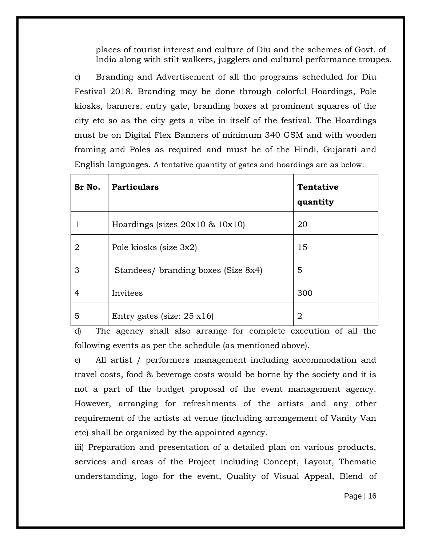places of tourist interest and culture of Diu and the schemes of Govt. of India along with stilt walkers, jugglers and cultural performance troupes.

c) Branding and Advertisement of all the programs scheduled for Diu Festival 2018. Branding may be done through colorful Hoardings, Pole kiosks, banners, entry gate, branding boxes at prominent squares of the city etc so as the city gets a vibe in itself of the festival. The Hoardings must be on Digital Flex Banners of minimum 340 GSM and with wooden framing and Poles as required and must be of the Hindi, Gujarati and English languages. A tentative quantity of gates and hoardings are as below:

| Sr No.         | <b>Particulars</b>                  | <b>Tentative</b><br>quantity |
|----------------|-------------------------------------|------------------------------|
|                | Hoardings (sizes $20x10 \& 10x10$ ) | 20                           |
| $\overline{2}$ | Pole kiosks (size 3x2)              | 15                           |
| З              | Standees/ branding boxes (Size 8x4) | 5                            |
| 4              | Invitees                            | 300                          |
| 5              | Entry gates (size: $25 \times 16$ ) | 2                            |

d) The agency shall also arrange for complete execution of all the following events as per the schedule (as mentioned above).

e) All artist / performers management including accommodation and travel costs, food & beverage costs would be borne by the society and it is not a part of the budget proposal of the event management agency. However, arranging for refreshments of the artists and any other requirement of the artists at venue (including arrangement of Vanity Van etc) shall be organized by the appointed agency.

iii) Preparation and presentation of a detailed plan on various products, services and areas of the Project including Concept, Layout, Thematic understanding, logo for the event, Quality of Visual Appeal, Blend of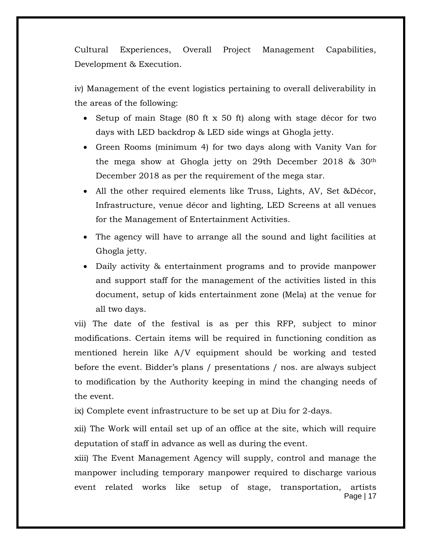Cultural Experiences, Overall Project Management Capabilities, Development & Execution.

iv) Management of the event logistics pertaining to overall deliverability in the areas of the following:

- Setup of main Stage (80 ft x 50 ft) along with stage décor for two days with LED backdrop & LED side wings at Ghogla jetty.
- Green Rooms (minimum 4) for two days along with Vanity Van for the mega show at Ghogla jetty on 29th December 2018 & 30th December 2018 as per the requirement of the mega star.
- All the other required elements like Truss, Lights, AV, Set &Décor, Infrastructure, venue décor and lighting, LED Screens at all venues for the Management of Entertainment Activities.
- The agency will have to arrange all the sound and light facilities at Ghogla jetty.
- Daily activity & entertainment programs and to provide manpower and support staff for the management of the activities listed in this document, setup of kids entertainment zone (Mela) at the venue for all two days.

vii) The date of the festival is as per this RFP, subject to minor modifications. Certain items will be required in functioning condition as mentioned herein like A/V equipment should be working and tested before the event. Bidder's plans / presentations / nos. are always subject to modification by the Authority keeping in mind the changing needs of the event.

ix) Complete event infrastructure to be set up at Diu for 2-days.

xii) The Work will entail set up of an office at the site, which will require deputation of staff in advance as well as during the event.

Page | 17 xiii) The Event Management Agency will supply, control and manage the manpower including temporary manpower required to discharge various event related works like setup of stage, transportation, artists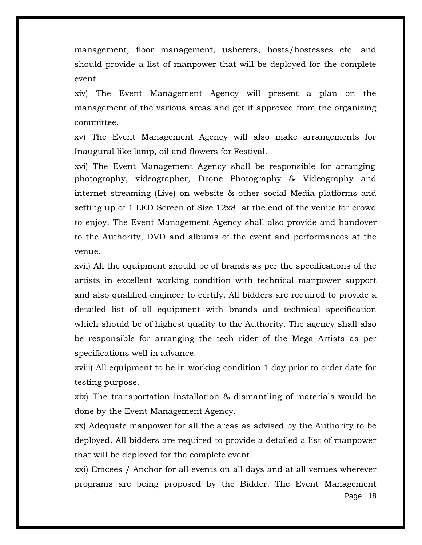management, floor management, usherers, hosts/hostesses etc. and should provide a list of manpower that will be deployed for the complete event.

xiv) The Event Management Agency will present a plan on the management of the various areas and get it approved from the organizing committee.

xv) The Event Management Agency will also make arrangements for Inaugural like lamp, oil and flowers for Festival.

xvi) The Event Management Agency shall be responsible for arranging photography, videographer, Drone Photography & Videography and internet streaming (Live) on website & other social Media platforms and setting up of 1 LED Screen of Size 12x8 at the end of the venue for crowd to enjoy. The Event Management Agency shall also provide and handover to the Authority, DVD and albums of the event and performances at the venue.

xvii) All the equipment should be of brands as per the specifications of the artists in excellent working condition with technical manpower support and also qualified engineer to certify. All bidders are required to provide a detailed list of all equipment with brands and technical specification which should be of highest quality to the Authority. The agency shall also be responsible for arranging the tech rider of the Mega Artists as per specifications well in advance.

xviii) All equipment to be in working condition 1 day prior to order date for testing purpose.

xix) The transportation installation & dismantling of materials would be done by the Event Management Agency.

xx) Adequate manpower for all the areas as advised by the Authority to be deployed. All bidders are required to provide a detailed a list of manpower that will be deployed for the complete event.

Page | 18 xxi) Emcees / Anchor for all events on all days and at all venues wherever programs are being proposed by the Bidder. The Event Management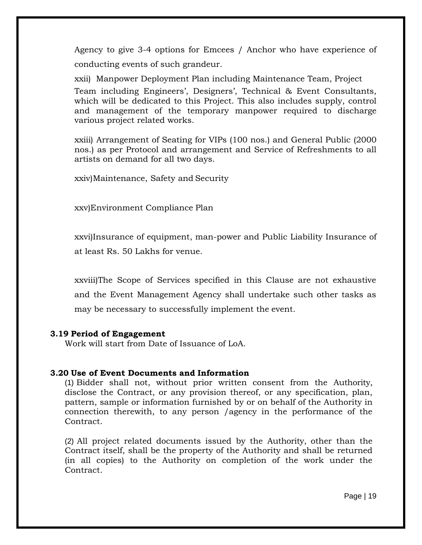Agency to give 3-4 options for Emcees / Anchor who have experience of conducting events of such grandeur.

xxii) Manpower Deployment Plan including Maintenance Team, Project Team including Engineers', Designers', Technical & Event Consultants, which will be dedicated to this Project. This also includes supply, control and management of the temporary manpower required to discharge various project related works.

xxiii) Arrangement of Seating for VIPs (100 nos.) and General Public (2000 nos.) as per Protocol and arrangement and Service of Refreshments to all artists on demand for all two days.

xxiv)Maintenance, Safety and Security

xxv)Environment Compliance Plan

xxvi)Insurance of equipment, man-power and Public Liability Insurance of at least Rs. 50 Lakhs for venue.

xxviii)The Scope of Services specified in this Clause are not exhaustive and the Event Management Agency shall undertake such other tasks as may be necessary to successfully implement the event.

#### **3.19 Period of Engagement**

Work will start from Date of Issuance of LoA.

# **3.20 Use of Event Documents and Information**

(1) Bidder shall not, without prior written consent from the Authority, disclose the Contract, or any provision thereof, or any specification, plan, pattern, sample or information furnished by or on behalf of the Authority in connection therewith, to any person /agency in the performance of the Contract.

(2) All project related documents issued by the Authority, other than the Contract itself, shall be the property of the Authority and shall be returned (in all copies) to the Authority on completion of the work under the Contract.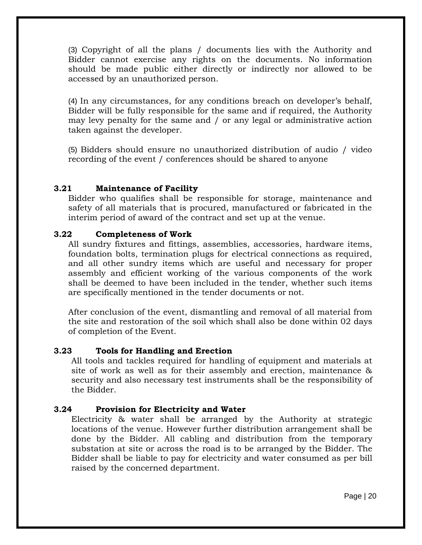(3) Copyright of all the plans / documents lies with the Authority and Bidder cannot exercise any rights on the documents. No information should be made public either directly or indirectly nor allowed to be accessed by an unauthorized person.

(4) In any circumstances, for any conditions breach on developer's behalf, Bidder will be fully responsible for the same and if required, the Authority may levy penalty for the same and / or any legal or administrative action taken against the developer.

(5) Bidders should ensure no unauthorized distribution of audio / video recording of the event / conferences should be shared to anyone

# **3.21 Maintenance of Facility**

Bidder who qualifies shall be responsible for storage, maintenance and safety of all materials that is procured, manufactured or fabricated in the interim period of award of the contract and set up at the venue.

# **3.22 Completeness of Work**

All sundry fixtures and fittings, assemblies, accessories, hardware items, foundation bolts, termination plugs for electrical connections as required, and all other sundry items which are useful and necessary for proper assembly and efficient working of the various components of the work shall be deemed to have been included in the tender, whether such items are specifically mentioned in the tender documents or not.

After conclusion of the event, dismantling and removal of all material from the site and restoration of the soil which shall also be done within 02 days of completion of the Event.

#### **3.23 Tools for Handling and Erection**

All tools and tackles required for handling of equipment and materials at site of work as well as for their assembly and erection, maintenance & security and also necessary test instruments shall be the responsibility of the Bidder.

#### **3.24 Provision for Electricity and Water**

Electricity & water shall be arranged by the Authority at strategic locations of the venue. However further distribution arrangement shall be done by the Bidder. All cabling and distribution from the temporary substation at site or across the road is to be arranged by the Bidder. The Bidder shall be liable to pay for electricity and water consumed as per bill raised by the concerned department.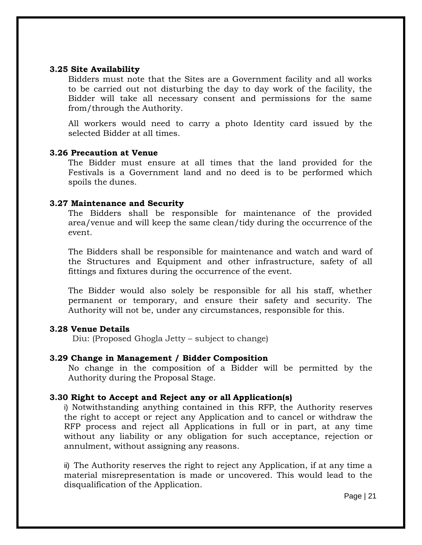#### **3.25 Site Availability**

Bidders must note that the Sites are a Government facility and all works to be carried out not disturbing the day to day work of the facility, the Bidder will take all necessary consent and permissions for the same from/through the Authority.

All workers would need to carry a photo Identity card issued by the selected Bidder at all times.

#### **3.26 Precaution at Venue**

The Bidder must ensure at all times that the land provided for the Festivals is a Government land and no deed is to be performed which spoils the dunes.

#### **3.27 Maintenance and Security**

The Bidders shall be responsible for maintenance of the provided area/venue and will keep the same clean/tidy during the occurrence of the event.

The Bidders shall be responsible for maintenance and watch and ward of the Structures and Equipment and other infrastructure, safety of all fittings and fixtures during the occurrence of the event.

The Bidder would also solely be responsible for all his staff, whether permanent or temporary, and ensure their safety and security. The Authority will not be, under any circumstances, responsible for this.

#### **3.28 Venue Details**

Diu: (Proposed Ghogla Jetty – subject to change)

#### **3.29 Change in Management / Bidder Composition**

No change in the composition of a Bidder will be permitted by the Authority during the Proposal Stage.

#### **3.30 Right to Accept and Reject any or all Application(s)**

i) Notwithstanding anything contained in this RFP, the Authority reserves the right to accept or reject any Application and to cancel or withdraw the RFP process and reject all Applications in full or in part, at any time without any liability or any obligation for such acceptance, rejection or annulment, without assigning any reasons.

ii) The Authority reserves the right to reject any Application, if at any time a material misrepresentation is made or uncovered. This would lead to the disqualification of the Application.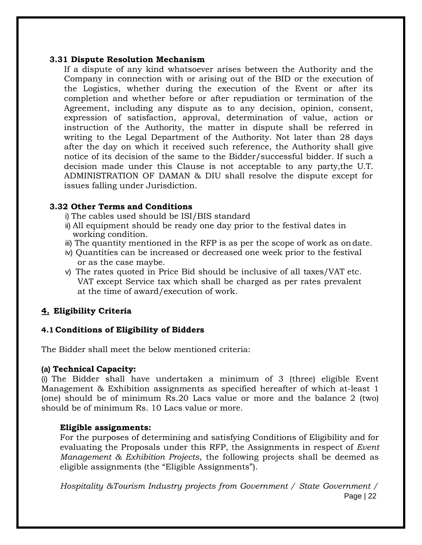#### **3.31 Dispute Resolution Mechanism**

If a dispute of any kind whatsoever arises between the Authority and the Company in connection with or arising out of the BID or the execution of the Logistics, whether during the execution of the Event or after its completion and whether before or after repudiation or termination of the Agreement, including any dispute as to any decision, opinion, consent, expression of satisfaction, approval, determination of value, action or instruction of the Authority, the matter in dispute shall be referred in writing to the Legal Department of the Authority. Not later than 28 days after the day on which it received such reference, the Authority shall give notice of its decision of the same to the Bidder/successful bidder. If such a decision made under this Clause is not acceptable to any party,the U.T. ADMINISTRATION OF DAMAN & DIU shall resolve the dispute except for issues falling under Jurisdiction.

# **3.32 Other Terms and Conditions**

- i) The cables used should be ISI/BIS standard
- ii) All equipment should be ready one day prior to the festival dates in working condition.
- iii) The quantity mentioned in the RFP is as per the scope of work as ondate.
- iv) Quantities can be increased or decreased one week prior to the festival or as the case maybe.
- v) The rates quoted in Price Bid should be inclusive of all taxes/VAT etc. VAT except Service tax which shall be charged as per rates prevalent at the time of award/execution of work.

# **4. Eligibility Criteria**

# **4.1 Conditions of Eligibility of Bidders**

The Bidder shall meet the below mentioned criteria:

#### **(a) Technical Capacity:**

(i) The Bidder shall have undertaken a minimum of 3 (three) eligible Event Management & Exhibition assignments as specified hereafter of which at-least 1 (one) should be of minimum Rs.20 Lacs value or more and the balance 2 (two) should be of minimum Rs. 10 Lacs value or more.

# **Eligible assignments:**

For the purposes of determining and satisfying Conditions of Eligibility and for evaluating the Proposals under this RFP, the Assignments in respect of *Event Management & Exhibition Projects*, the following projects shall be deemed as eligible assignments (the "Eligible Assignments").

Page | 22 *Hospitality &Tourism Industry projects from Government / State Government /*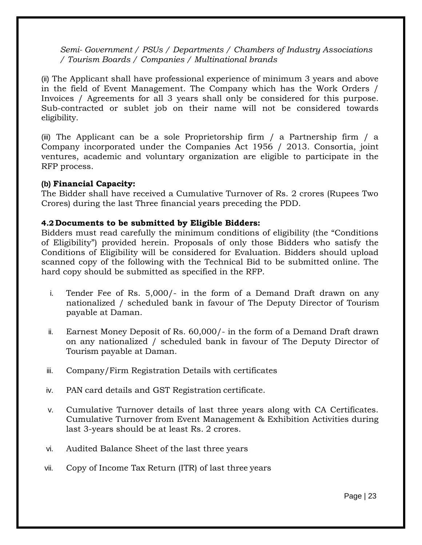*Semi- Government / PSUs / Departments / Chambers of Industry Associations / Tourism Boards / Companies / Multinational brands*

(ii) The Applicant shall have professional experience of minimum 3 years and above in the field of Event Management. The Company which has the Work Orders / Invoices / Agreements for all 3 years shall only be considered for this purpose. Sub-contracted or sublet job on their name will not be considered towards eligibility.

(iii) The Applicant can be a sole Proprietorship firm / a Partnership firm / a Company incorporated under the Companies Act 1956 / 2013. Consortia, joint ventures, academic and voluntary organization are eligible to participate in the RFP process.

#### **(b) Financial Capacity:**

The Bidder shall have received a Cumulative Turnover of Rs. 2 crores (Rupees Two Crores) during the last Three financial years preceding the PDD.

#### **4.2 Documents to be submitted by Eligible Bidders:**

Bidders must read carefully the minimum conditions of eligibility (the "Conditions of Eligibility") provided herein. Proposals of only those Bidders who satisfy the Conditions of Eligibility will be considered for Evaluation. Bidders should upload scanned copy of the following with the Technical Bid to be submitted online. The hard copy should be submitted as specified in the RFP.

- i. Tender Fee of Rs. 5,000/- in the form of a Demand Draft drawn on any nationalized / scheduled bank in favour of The Deputy Director of Tourism payable at Daman.
- ii. Earnest Money Deposit of Rs. 60,000/- in the form of a Demand Draft drawn on any nationalized / scheduled bank in favour of The Deputy Director of Tourism payable at Daman.
- iii. Company/Firm Registration Details with certificates
- iv. PAN card details and GST Registration certificate.
- v. Cumulative Turnover details of last three years along with CA Certificates. Cumulative Turnover from Event Management & Exhibition Activities during last 3-years should be at least Rs. 2 crores.
- vi. Audited Balance Sheet of the last three years
- vii. Copy of Income Tax Return (ITR) of last three years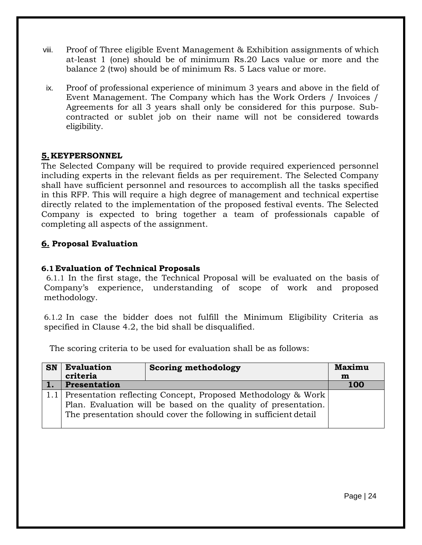- viii. Proof of Three eligible Event Management & Exhibition assignments of which at-least 1 (one) should be of minimum Rs.20 Lacs value or more and the balance 2 (two) should be of minimum Rs. 5 Lacs value or more.
- ix. Proof of professional experience of minimum 3 years and above in the field of Event Management. The Company which has the Work Orders / Invoices / Agreements for all 3 years shall only be considered for this purpose. Subcontracted or sublet job on their name will not be considered towards eligibility.

# **5.KEYPERSONNEL**

The Selected Company will be required to provide required experienced personnel including experts in the relevant fields as per requirement. The Selected Company shall have sufficient personnel and resources to accomplish all the tasks specified in this RFP. This will require a high degree of management and technical expertise directly related to the implementation of the proposed festival events. The Selected Company is expected to bring together a team of professionals capable of completing all aspects of the assignment.

# **6. Proposal Evaluation**

# **6.1 Evaluation of Technical Proposals**

6.1.1 In the first stage, the Technical Proposal will be evaluated on the basis of Company's experience, understanding of scope of work and proposed methodology.

6.1.2 In case the bidder does not fulfill the Minimum Eligibility Criteria as specified in Clause 4.2, the bid shall be disqualified.

The scoring criteria to be used for evaluation shall be as follows:

| <b>SN</b> | <b>Evaluation</b>                                                | <b>Scoring methodology</b>                                       | <b>Maximu</b> |  |  |  |  |  |  |
|-----------|------------------------------------------------------------------|------------------------------------------------------------------|---------------|--|--|--|--|--|--|
|           | criteria                                                         |                                                                  | m             |  |  |  |  |  |  |
|           | Presentation                                                     |                                                                  | <b>100</b>    |  |  |  |  |  |  |
|           | 1.1 Presentation reflecting Concept, Proposed Methodology & Work |                                                                  |               |  |  |  |  |  |  |
|           |                                                                  | Plan. Evaluation will be based on the quality of presentation.   |               |  |  |  |  |  |  |
|           |                                                                  | The presentation should cover the following in sufficient detail |               |  |  |  |  |  |  |
|           |                                                                  |                                                                  |               |  |  |  |  |  |  |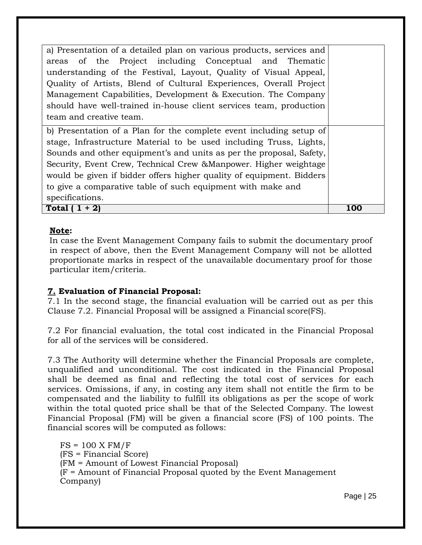a) Presentation of a detailed plan on various products, services and areas of the Project including Conceptual and Thematic understanding of the Festival, Layout, Quality of Visual Appeal, Quality of Artists, Blend of Cultural Experiences, Overall Project Management Capabilities, Development & Execution. The Company should have well-trained in-house client services team, production team and creative team. b) Presentation of a Plan for the complete event including setup of stage, Infrastructure Material to be used including Truss, Lights,

Sounds and other equipment's and units as per the proposal, Safety, Security, Event Crew, Technical Crew &Manpower. Higher weightage would be given if bidder offers higher quality of equipment. Bidders to give a comparative table of such equipment with make and specifications. **Total ( 1 + 2) 100**

**Note:**

In case the Event Management Company fails to submit the documentary proof in respect of above, then the Event Management Company will not be allotted proportionate marks in respect of the unavailable documentary proof for those particular item/criteria.

# **7. Evaluation of Financial Proposal:**

7.1 In the second stage, the financial evaluation will be carried out as per this Clause 7.2. Financial Proposal will be assigned a Financial score(FS).

7.2 For financial evaluation, the total cost indicated in the Financial Proposal for all of the services will be considered.

7.3 The Authority will determine whether the Financial Proposals are complete, unqualified and unconditional. The cost indicated in the Financial Proposal shall be deemed as final and reflecting the total cost of services for each services. Omissions, if any, in costing any item shall not entitle the firm to be compensated and the liability to fulfill its obligations as per the scope of work within the total quoted price shall be that of the Selected Company. The lowest Financial Proposal (FM) will be given a financial score (FS) of 100 points. The financial scores will be computed as follows:

 $FS = 100 \text{ X} \text{ FM/F}$ (FS = Financial Score) (FM = Amount of Lowest Financial Proposal) (F = Amount of Financial Proposal quoted by the Event Management Company)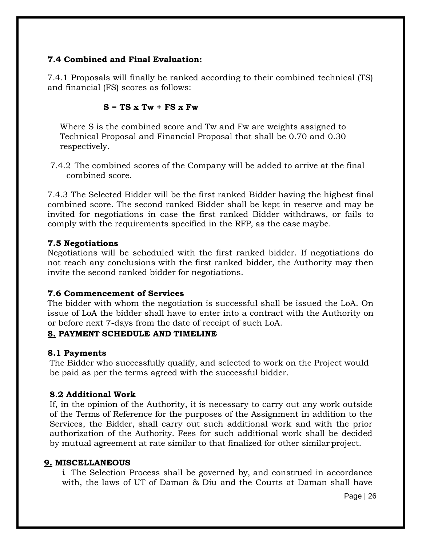# **7.4 Combined and Final Evaluation:**

7.4.1 Proposals will finally be ranked according to their combined technical (TS) and financial (FS) scores as follows:

#### $S = TS X Tw + FS X Fw$

Where S is the combined score and Tw and Fw are weights assigned to Technical Proposal and Financial Proposal that shall be 0.70 and 0.30 respectively.

7.4.2 The combined scores of the Company will be added to arrive at the final combined score.

7.4.3 The Selected Bidder will be the first ranked Bidder having the highest final combined score. The second ranked Bidder shall be kept in reserve and may be invited for negotiations in case the first ranked Bidder withdraws, or fails to comply with the requirements specified in the RFP, as the case maybe.

#### **7.5 Negotiations**

Negotiations will be scheduled with the first ranked bidder. If negotiations do not reach any conclusions with the first ranked bidder, the Authority may then invite the second ranked bidder for negotiations.

#### **7.6 Commencement of Services**

The bidder with whom the negotiation is successful shall be issued the LoA. On issue of LoA the bidder shall have to enter into a contract with the Authority on or before next 7-days from the date of receipt of such LoA.

#### **8. PAYMENT SCHEDULE AND TIMELINE**

#### **8.1 Payments**

The Bidder who successfully qualify, and selected to work on the Project would be paid as per the terms agreed with the successful bidder.

#### **8.2 Additional Work**

If, in the opinion of the Authority, it is necessary to carry out any work outside of the Terms of Reference for the purposes of the Assignment in addition to the Services, the Bidder, shall carry out such additional work and with the prior authorization of the Authority. Fees for such additional work shall be decided by mutual agreement at rate similar to that finalized for other similar project.

#### **9. MISCELLANEOUS**

i. The Selection Process shall be governed by, and construed in accordance with, the laws of UT of Daman & Diu and the Courts at Daman shall have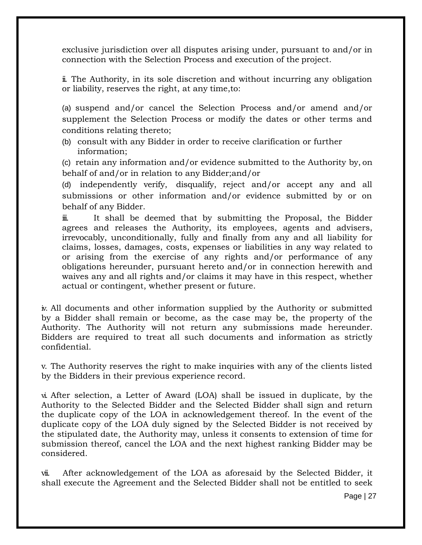exclusive jurisdiction over all disputes arising under, pursuant to and/or in connection with the Selection Process and execution of the project.

ii. The Authority, in its sole discretion and without incurring any obligation or liability, reserves the right, at any time,to:

(a) suspend and/or cancel the Selection Process and/or amend and/or supplement the Selection Process or modify the dates or other terms and conditions relating thereto;

(b) consult with any Bidder in order to receive clarification or further information;

(c) retain any information and/or evidence submitted to the Authority by, on behalf of and/or in relation to any Bidder;and/or

(d) independently verify, disqualify, reject and/or accept any and all submissions or other information and/or evidence submitted by or on behalf of any Bidder.

iii. It shall be deemed that by submitting the Proposal, the Bidder agrees and releases the Authority, its employees, agents and advisers, irrevocably, unconditionally, fully and finally from any and all liability for claims, losses, damages, costs, expenses or liabilities in any way related to or arising from the exercise of any rights and/or performance of any obligations hereunder, pursuant hereto and/or in connection herewith and waives any and all rights and/or claims it may have in this respect, whether actual or contingent, whether present or future.

iv. All documents and other information supplied by the Authority or submitted by a Bidder shall remain or become, as the case may be, the property of the Authority. The Authority will not return any submissions made hereunder. Bidders are required to treat all such documents and information as strictly confidential.

v. The Authority reserves the right to make inquiries with any of the clients listed by the Bidders in their previous experience record.

vi. After selection, a Letter of Award (LOA) shall be issued in duplicate, by the Authority to the Selected Bidder and the Selected Bidder shall sign and return the duplicate copy of the LOA in acknowledgement thereof. In the event of the duplicate copy of the LOA duly signed by the Selected Bidder is not received by the stipulated date, the Authority may, unless it consents to extension of time for submission thereof, cancel the LOA and the next highest ranking Bidder may be considered.

vii. After acknowledgement of the LOA as aforesaid by the Selected Bidder, it shall execute the Agreement and the Selected Bidder shall not be entitled to seek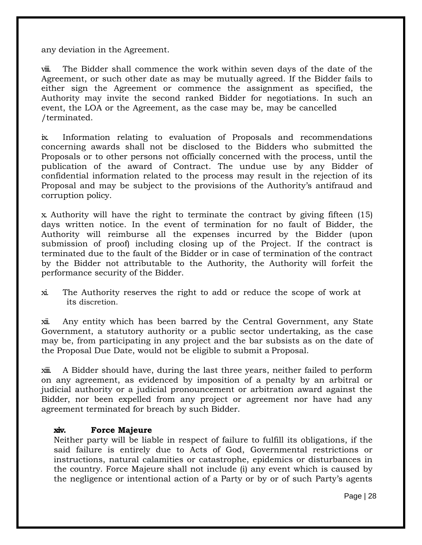any deviation in the Agreement.

viii. The Bidder shall commence the work within seven days of the date of the Agreement, or such other date as may be mutually agreed. If the Bidder fails to either sign the Agreement or commence the assignment as specified, the Authority may invite the second ranked Bidder for negotiations. In such an event, the LOA or the Agreement, as the case may be, may be cancelled /terminated.

ix. Information relating to evaluation of Proposals and recommendations concerning awards shall not be disclosed to the Bidders who submitted the Proposals or to other persons not officially concerned with the process, until the publication of the award of Contract. The undue use by any Bidder of confidential information related to the process may result in the rejection of its Proposal and may be subject to the provisions of the Authority's antifraud and corruption policy.

x. Authority will have the right to terminate the contract by giving fifteen (15) days written notice. In the event of termination for no fault of Bidder, the Authority will reimburse all the expenses incurred by the Bidder (upon submission of proof) including closing up of the Project. If the contract is terminated due to the fault of the Bidder or in case of termination of the contract by the Bidder not attributable to the Authority, the Authority will forfeit the performance security of the Bidder.

xi. The Authority reserves the right to add or reduce the scope of work at its discretion.

xii. Any entity which has been barred by the Central Government, any State Government, a statutory authority or a public sector undertaking, as the case may be, from participating in any project and the bar subsists as on the date of the Proposal Due Date, would not be eligible to submit a Proposal.

xiii. A Bidder should have, during the last three years, neither failed to perform on any agreement, as evidenced by imposition of a penalty by an arbitral or judicial authority or a judicial pronouncement or arbitration award against the Bidder, nor been expelled from any project or agreement nor have had any agreement terminated for breach by such Bidder.

#### **xiv. Force Majeure**

Neither party will be liable in respect of failure to fulfill its obligations, if the said failure is entirely due to Acts of God, Governmental restrictions or instructions, natural calamities or catastrophe, epidemics or disturbances in the country. Force Majeure shall not include (i) any event which is caused by the negligence or intentional action of a Party or by or of such Party's agents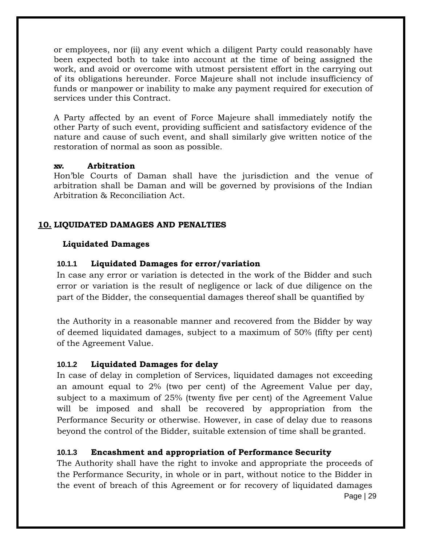or employees, nor (ii) any event which a diligent Party could reasonably have been expected both to take into account at the time of being assigned the work, and avoid or overcome with utmost persistent effort in the carrying out of its obligations hereunder. Force Majeure shall not include insufficiency of funds or manpower or inability to make any payment required for execution of services under this Contract.

A Party affected by an event of Force Majeure shall immediately notify the other Party of such event, providing sufficient and satisfactory evidence of the nature and cause of such event, and shall similarly give written notice of the restoration of normal as soon as possible.

#### **xv. Arbitration**

Hon'ble Courts of Daman shall have the jurisdiction and the venue of arbitration shall be Daman and will be governed by provisions of the Indian Arbitration & Reconciliation Act.

# **10. LIQUIDATED DAMAGES AND PENALTIES**

#### **Liquidated Damages**

# **10.1.1 Liquidated Damages for error/variation**

In case any error or variation is detected in the work of the Bidder and such error or variation is the result of negligence or lack of due diligence on the part of the Bidder, the consequential damages thereof shall be quantified by

the Authority in a reasonable manner and recovered from the Bidder by way of deemed liquidated damages, subject to a maximum of 50% (fifty per cent) of the Agreement Value.

#### **10.1.2 Liquidated Damages for delay**

In case of delay in completion of Services, liquidated damages not exceeding an amount equal to 2% (two per cent) of the Agreement Value per day, subject to a maximum of 25% (twenty five per cent) of the Agreement Value will be imposed and shall be recovered by appropriation from the Performance Security or otherwise. However, in case of delay due to reasons beyond the control of the Bidder, suitable extension of time shall be granted.

# **10.1.3 Encashment and appropriation of Performance Security**

Page | 29 The Authority shall have the right to invoke and appropriate the proceeds of the Performance Security, in whole or in part, without notice to the Bidder in the event of breach of this Agreement or for recovery of liquidated damages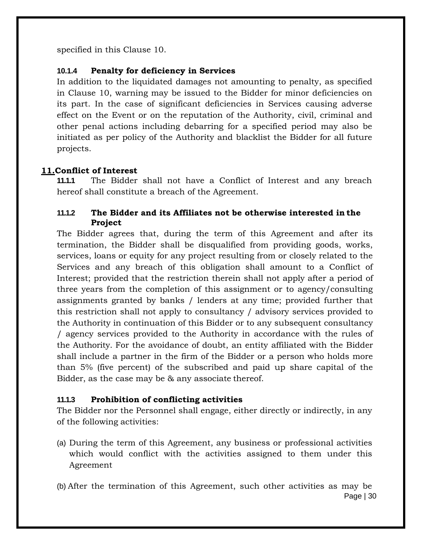specified in this Clause 10.

# **10.1.4 Penalty for deficiency in Services**

In addition to the liquidated damages not amounting to penalty, as specified in Clause 10, warning may be issued to the Bidder for minor deficiencies on its part. In the case of significant deficiencies in Services causing adverse effect on the Event or on the reputation of the Authority, civil, criminal and other penal actions including debarring for a specified period may also be initiated as per policy of the Authority and blacklist the Bidder for all future projects.

# **11.Conflict of Interest**

**11.1.1** The Bidder shall not have a Conflict of Interest and any breach hereof shall constitute a breach of the Agreement.

# **11.1.2 The Bidder and its Affiliates not be otherwise interested in the Project**

The Bidder agrees that, during the term of this Agreement and after its termination, the Bidder shall be disqualified from providing goods, works, services, loans or equity for any project resulting from or closely related to the Services and any breach of this obligation shall amount to a Conflict of Interest; provided that the restriction therein shall not apply after a period of three years from the completion of this assignment or to agency/consulting assignments granted by banks / lenders at any time; provided further that this restriction shall not apply to consultancy / advisory services provided to the Authority in continuation of this Bidder or to any subsequent consultancy / agency services provided to the Authority in accordance with the rules of the Authority. For the avoidance of doubt, an entity affiliated with the Bidder shall include a partner in the firm of the Bidder or a person who holds more than 5% (five percent) of the subscribed and paid up share capital of the Bidder, as the case may be & any associate thereof.

# **11.1.3 Prohibition of conflicting activities**

The Bidder nor the Personnel shall engage, either directly or indirectly, in any of the following activities:

- (a) During the term of this Agreement, any business or professional activities which would conflict with the activities assigned to them under this Agreement
- Page | 30 (b) After the termination of this Agreement, such other activities as may be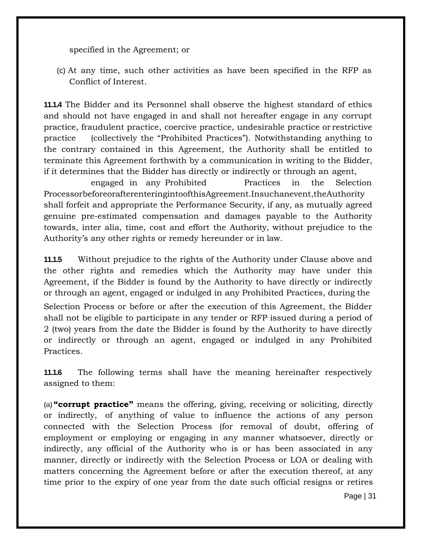specified in the Agreement; or

(c) At any time, such other activities as have been specified in the RFP as Conflict of Interest.

**11.1.4** The Bidder and its Personnel shall observe the highest standard of ethics and should not have engaged in and shall not hereafter engage in any corrupt practice, fraudulent practice, coercive practice, undesirable practice or restrictive practice (collectively the "Prohibited Practices"). Notwithstanding anything to the contrary contained in this Agreement, the Authority shall be entitled to terminate this Agreement forthwith by a communication in writing to the Bidder, if it determines that the Bidder has directly or indirectly or through an agent,

engaged in any Prohibited Practices in the Selection ProcessorbeforeorafterenteringintoofthisAgreement.Insuchanevent,theAuthority shall forfeit and appropriate the Performance Security, if any, as mutually agreed genuine pre-estimated compensation and damages payable to the Authority towards, inter alia, time, cost and effort the Authority, without prejudice to the Authority's any other rights or remedy hereunder or in law.

**11.1.5** Without prejudice to the rights of the Authority under Clause above and the other rights and remedies which the Authority may have under this Agreement, if the Bidder is found by the Authority to have directly or indirectly or through an agent, engaged or indulged in any Prohibited Practices, during the Selection Process or before or after the execution of this Agreement, the Bidder shall not be eligible to participate in any tender or RFP issued during a period of 2 (two) years from the date the Bidder is found by the Authority to have directly or indirectly or through an agent, engaged or indulged in any Prohibited Practices.

**11.1.6** The following terms shall have the meaning hereinafter respectively assigned to them:

(a) **"corrupt practice"** means the offering, giving, receiving or soliciting, directly or indirectly, of anything of value to influence the actions of any person connected with the Selection Process (for removal of doubt, offering of employment or employing or engaging in any manner whatsoever, directly or indirectly, any official of the Authority who is or has been associated in any manner, directly or indirectly with the Selection Process or LOA or dealing with matters concerning the Agreement before or after the execution thereof, at any time prior to the expiry of one year from the date such official resigns or retires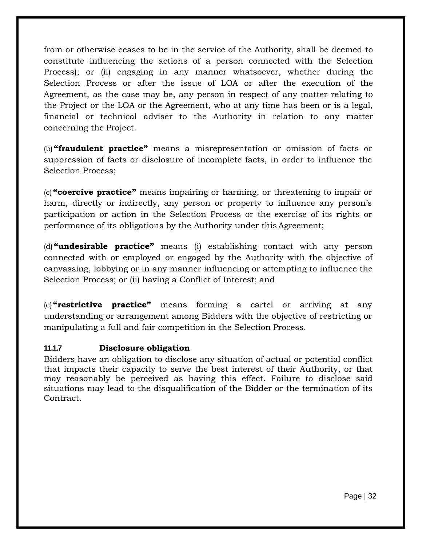from or otherwise ceases to be in the service of the Authority, shall be deemed to constitute influencing the actions of a person connected with the Selection Process); or (ii) engaging in any manner whatsoever, whether during the Selection Process or after the issue of LOA or after the execution of the Agreement, as the case may be, any person in respect of any matter relating to the Project or the LOA or the Agreement, who at any time has been or is a legal, financial or technical adviser to the Authority in relation to any matter concerning the Project.

(b)**"fraudulent practice"** means a misrepresentation or omission of facts or suppression of facts or disclosure of incomplete facts, in order to influence the Selection Process;

(c)**"coercive practice"** means impairing or harming, or threatening to impair or harm, directly or indirectly, any person or property to influence any person's participation or action in the Selection Process or the exercise of its rights or performance of its obligations by the Authority under this Agreement;

(d)**"undesirable practice"** means (i) establishing contact with any person connected with or employed or engaged by the Authority with the objective of canvassing, lobbying or in any manner influencing or attempting to influence the Selection Process; or (ii) having a Conflict of Interest; and

(e)**"restrictive practice"** means forming a cartel or arriving at any understanding or arrangement among Bidders with the objective of restricting or manipulating a full and fair competition in the Selection Process.

# **11.1.7 Disclosure obligation**

Bidders have an obligation to disclose any situation of actual or potential conflict that impacts their capacity to serve the best interest of their Authority, or that may reasonably be perceived as having this effect. Failure to disclose said situations may lead to the disqualification of the Bidder or the termination of its Contract.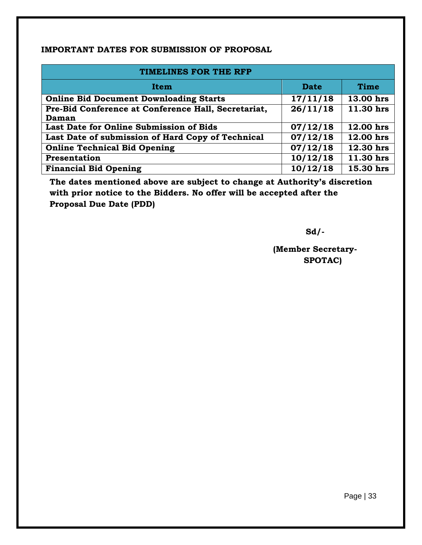#### **IMPORTANT DATES FOR SUBMISSION OF PROPOSAL**

| TIMELINES FOR THE RFP                                        |             |             |  |  |  |  |  |  |  |  |
|--------------------------------------------------------------|-------------|-------------|--|--|--|--|--|--|--|--|
| <b>Item</b>                                                  | <b>Date</b> | <b>Time</b> |  |  |  |  |  |  |  |  |
| <b>Online Bid Document Downloading Starts</b>                | 17/11/18    | 13.00 hrs   |  |  |  |  |  |  |  |  |
| Pre-Bid Conference at Conference Hall, Secretariat,<br>Daman | 26/11/18    | 11.30 hrs   |  |  |  |  |  |  |  |  |
| Last Date for Online Submission of Bids                      | 07/12/18    | 12.00 hrs   |  |  |  |  |  |  |  |  |
| Last Date of submission of Hard Copy of Technical            | 07/12/18    | 12.00 hrs   |  |  |  |  |  |  |  |  |
| <b>Online Technical Bid Opening</b>                          | 07/12/18    | 12.30 hrs   |  |  |  |  |  |  |  |  |
| Presentation                                                 | 10/12/18    | 11.30 hrs   |  |  |  |  |  |  |  |  |
| <b>Financial Bid Opening</b>                                 | 10/12/18    | 15.30 hrs   |  |  |  |  |  |  |  |  |

**The dates mentioned above are subject to change at Authority's discretion with prior notice to the Bidders. No offer will be accepted after the Proposal Due Date (PDD)**

**Sd/-**

**(Member Secretary-SPOTAC)**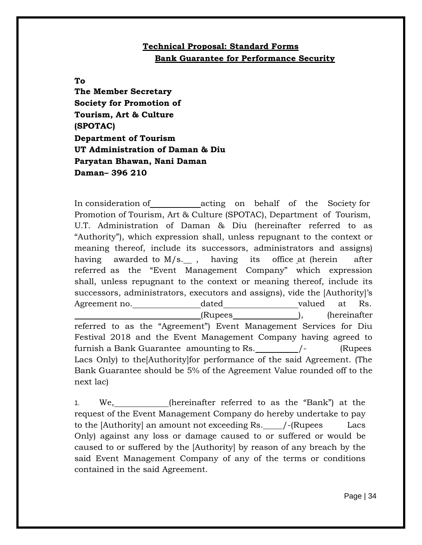# **Technical Proposal: Standard Forms Bank Guarantee for Performance Security**

#### **To**

**The Member Secretary Society for Promotion of Tourism, Art & Culture (SPOTAC) Department of Tourism UT Administration of Daman & Diu Paryatan Bhawan, Nani Daman Daman– 396 210**

In consideration of acting on behalf of the Society for Promotion of Tourism, Art & Culture (SPOTAC), Department of Tourism, U.T. Administration of Daman & Diu (hereinafter referred to as "Authority"), which expression shall, unless repugnant to the context or meaning thereof, include its successors, administrators and assigns) having awarded to M/s. , having its office at (herein after referred as the "Event Management Company" which expression shall, unless repugnant to the context or meaning thereof, include its successors, administrators, executors and assigns), vide the [Authority]'s Agreement no. **dated** valued at Rs. (Rupees ), (hereinafter referred to as the "Agreement") Event Management Services for Diu Festival 2018 and the Event Management Company having agreed to furnish a Bank Guarantee amounting to Rs.  $/$ - (Rupees Lacs Only) to the[Authority]for performance of the said Agreement. (The Bank Guarantee should be 5% of the Agreement Value rounded off to the next lac)

1. We, (hereinafter referred to as the "Bank") at the request of the Event Management Company do hereby undertake to pay to the  $[Authority]$  an amount not exceeding Rs.  $\angle$  -(Rupees Lacs Only) against any loss or damage caused to or suffered or would be caused to or suffered by the [Authority] by reason of any breach by the said Event Management Company of any of the terms or conditions contained in the said Agreement.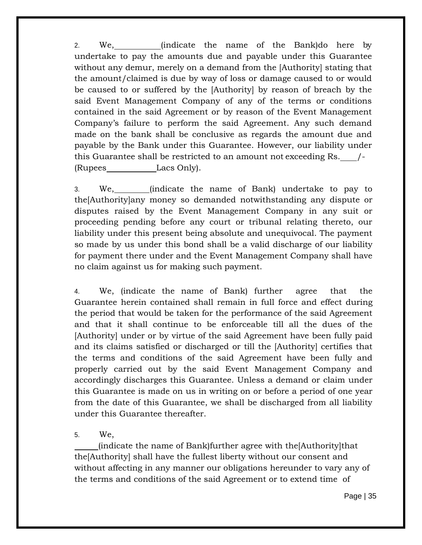2. We, (indicate the name of the Bank)do here by undertake to pay the amounts due and payable under this Guarantee without any demur, merely on a demand from the [Authority] stating that the amount/claimed is due by way of loss or damage caused to or would be caused to or suffered by the [Authority] by reason of breach by the said Event Management Company of any of the terms or conditions contained in the said Agreement or by reason of the Event Management Company's failure to perform the said Agreement. Any such demand made on the bank shall be conclusive as regards the amount due and payable by the Bank under this Guarantee. However, our liability under this Guarantee shall be restricted to an amount not exceeding Rs. /- (Rupees Lacs Only).

3. We, (indicate the name of Bank) undertake to pay to the[Authority]any money so demanded notwithstanding any dispute or disputes raised by the Event Management Company in any suit or proceeding pending before any court or tribunal relating thereto, our liability under this present being absolute and unequivocal. The payment so made by us under this bond shall be a valid discharge of our liability for payment there under and the Event Management Company shall have no claim against us for making such payment.

4. We, (indicate the name of Bank) further agree that the Guarantee herein contained shall remain in full force and effect during the period that would be taken for the performance of the said Agreement and that it shall continue to be enforceable till all the dues of the [Authority] under or by virtue of the said Agreement have been fully paid and its claims satisfied or discharged or till the [Authority] certifies that the terms and conditions of the said Agreement have been fully and properly carried out by the said Event Management Company and accordingly discharges this Guarantee. Unless a demand or claim under this Guarantee is made on us in writing on or before a period of one year from the date of this Guarantee, we shall be discharged from all liability under this Guarantee thereafter.

5. We,

(indicate the name of Bank)further agree with the[Authority]that the[Authority] shall have the fullest liberty without our consent and without affecting in any manner our obligations hereunder to vary any of the terms and conditions of the said Agreement or to extend time of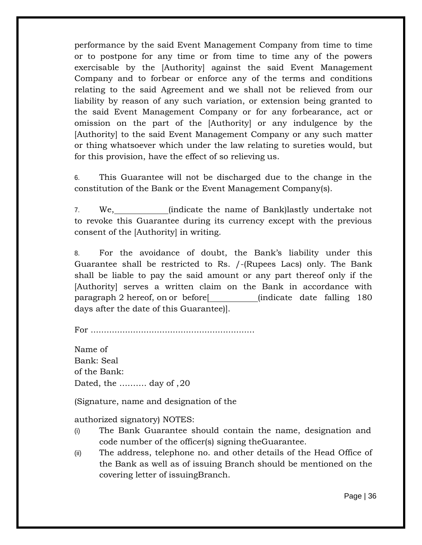performance by the said Event Management Company from time to time or to postpone for any time or from time to time any of the powers exercisable by the [Authority] against the said Event Management Company and to forbear or enforce any of the terms and conditions relating to the said Agreement and we shall not be relieved from our liability by reason of any such variation, or extension being granted to the said Event Management Company or for any forbearance, act or omission on the part of the [Authority] or any indulgence by the [Authority] to the said Event Management Company or any such matter or thing whatsoever which under the law relating to sureties would, but for this provision, have the effect of so relieving us.

6. This Guarantee will not be discharged due to the change in the constitution of the Bank or the Event Management Company(s).

7. We, (indicate the name of Bank)lastly undertake not to revoke this Guarantee during its currency except with the previous consent of the [Authority] in writing.

8. For the avoidance of doubt, the Bank's liability under this Guarantee shall be restricted to Rs. /-(Rupees Lacs) only. The Bank shall be liable to pay the said amount or any part thereof only if the [Authority] serves a written claim on the Bank in accordance with paragraph 2 hereof, on or before[ (indicate date falling 180 days after the date of this Guarantee)].

For ..............................................................

Name of Bank: Seal of the Bank: Dated, the ………. day of ,20

(Signature, name and designation of the

authorized signatory) NOTES:

- (i) The Bank Guarantee should contain the name, designation and code number of the officer(s) signing theGuarantee.
- (ii) The address, telephone no. and other details of the Head Office of the Bank as well as of issuing Branch should be mentioned on the covering letter of issuingBranch.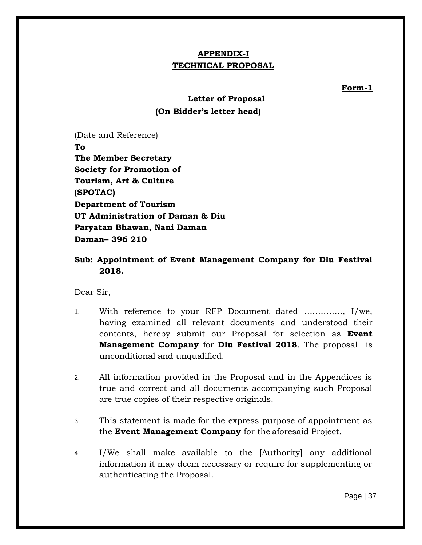# **APPENDIX-I TECHNICAL PROPOSAL**

**Form-1**

# **Letter of Proposal (On Bidder's letter head)**

(Date and Reference) **To The Member Secretary Society for Promotion of Tourism, Art & Culture (SPOTAC) Department of Tourism UT Administration of Daman & Diu Paryatan Bhawan, Nani Daman Daman– 396 210**

# **Sub: Appointment of Event Management Company for Diu Festival 2018.**

Dear Sir,

- 1. With reference to your RFP Document dated ………….., I/we, having examined all relevant documents and understood their contents, hereby submit our Proposal for selection as **Event Management Company** for **Diu Festival 2018**. The proposal is unconditional and unqualified.
- 2. All information provided in the Proposal and in the Appendices is true and correct and all documents accompanying such Proposal are true copies of their respective originals.
- 3. This statement is made for the express purpose of appointment as the **Event Management Company** for the aforesaid Project.
- 4. I/We shall make available to the [Authority] any additional information it may deem necessary or require for supplementing or authenticating the Proposal.

Page | 37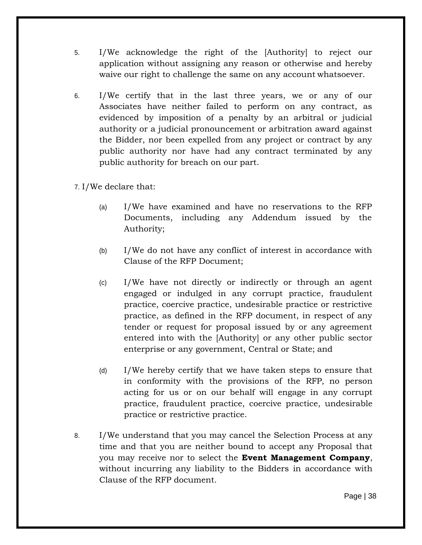- 5. I/We acknowledge the right of the [Authority] to reject our application without assigning any reason or otherwise and hereby waive our right to challenge the same on any account whatsoever.
- 6. I/We certify that in the last three years, we or any of our Associates have neither failed to perform on any contract, as evidenced by imposition of a penalty by an arbitral or judicial authority or a judicial pronouncement or arbitration award against the Bidder, nor been expelled from any project or contract by any public authority nor have had any contract terminated by any public authority for breach on our part.
- 7. I/We declare that:
	- (a) I/We have examined and have no reservations to the RFP Documents, including any Addendum issued by the Authority;
	- (b) I/We do not have any conflict of interest in accordance with Clause of the RFP Document;
	- (c) I/We have not directly or indirectly or through an agent engaged or indulged in any corrupt practice, fraudulent practice, coercive practice, undesirable practice or restrictive practice, as defined in the RFP document, in respect of any tender or request for proposal issued by or any agreement entered into with the [Authority] or any other public sector enterprise or any government, Central or State; and
	- (d) I/We hereby certify that we have taken steps to ensure that in conformity with the provisions of the RFP, no person acting for us or on our behalf will engage in any corrupt practice, fraudulent practice, coercive practice, undesirable practice or restrictive practice.
- 8. I/We understand that you may cancel the Selection Process at any time and that you are neither bound to accept any Proposal that you may receive nor to select the **Event Management Company**, without incurring any liability to the Bidders in accordance with Clause of the RFP document.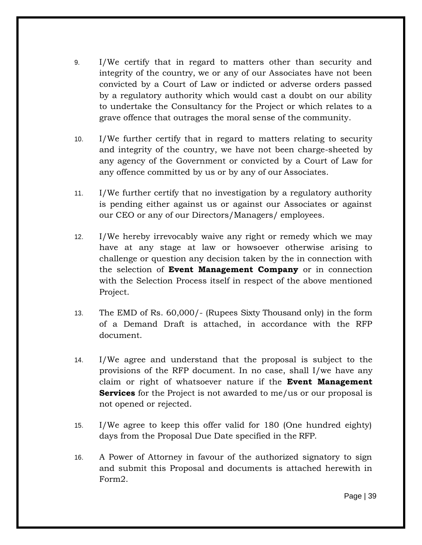- 9. I/We certify that in regard to matters other than security and integrity of the country, we or any of our Associates have not been convicted by a Court of Law or indicted or adverse orders passed by a regulatory authority which would cast a doubt on our ability to undertake the Consultancy for the Project or which relates to a grave offence that outrages the moral sense of the community.
- 10. I/We further certify that in regard to matters relating to security and integrity of the country, we have not been charge-sheeted by any agency of the Government or convicted by a Court of Law for any offence committed by us or by any of our Associates.
- 11. I/We further certify that no investigation by a regulatory authority is pending either against us or against our Associates or against our CEO or any of our Directors/Managers/ employees.
- 12. I/We hereby irrevocably waive any right or remedy which we may have at any stage at law or howsoever otherwise arising to challenge or question any decision taken by the in connection with the selection of **Event Management Company** or in connection with the Selection Process itself in respect of the above mentioned Project.
- 13. The EMD of Rs. 60,000/- (Rupees Sixty Thousand only) in the form of a Demand Draft is attached, in accordance with the RFP document.
- 14. I/We agree and understand that the proposal is subject to the provisions of the RFP document. In no case, shall I/we have any claim or right of whatsoever nature if the **Event Management Services** for the Project is not awarded to me/us or our proposal is not opened or rejected.
- 15. I/We agree to keep this offer valid for 180 (One hundred eighty) days from the Proposal Due Date specified in the RFP.
- 16. A Power of Attorney in favour of the authorized signatory to sign and submit this Proposal and documents is attached herewith in Form2.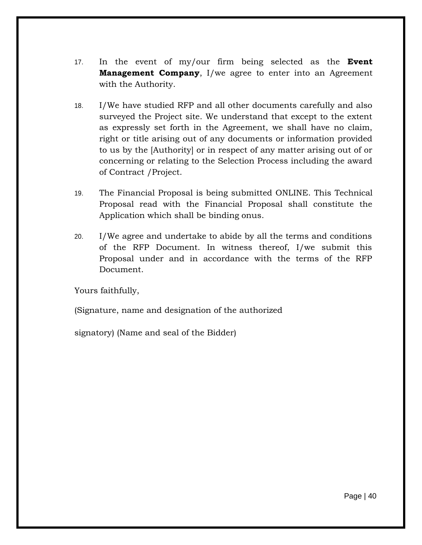- 17. In the event of my/our firm being selected as the **Event Management Company**, I/we agree to enter into an Agreement with the Authority.
- 18. I/We have studied RFP and all other documents carefully and also surveyed the Project site. We understand that except to the extent as expressly set forth in the Agreement, we shall have no claim, right or title arising out of any documents or information provided to us by the [Authority] or in respect of any matter arising out of or concerning or relating to the Selection Process including the award of Contract /Project.
- 19. The Financial Proposal is being submitted ONLINE. This Technical Proposal read with the Financial Proposal shall constitute the Application which shall be binding onus.
- 20. I/We agree and undertake to abide by all the terms and conditions of the RFP Document. In witness thereof, I/we submit this Proposal under and in accordance with the terms of the RFP Document.

Yours faithfully,

(Signature, name and designation of the authorized

signatory) (Name and seal of the Bidder)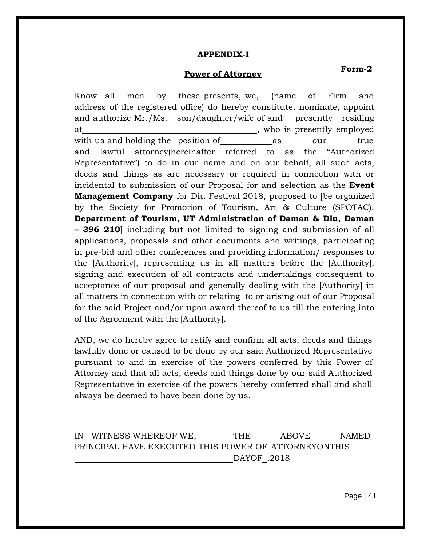#### **APPENDIX-I**

# **Power of Attorney Form-2**

Know all men by these presents, we, (name of Firm and address of the registered office) do hereby constitute, nominate, appoint and authorize Mr./Ms. son/daughter/wife of and presently residing at the contract of the contract of the contract of the contract of the contract of the contract of the contract of the contract of the contract of the contract of the contract of the contract of the contract of the contrac with us and holding the position of as our true and lawful attorney(hereinafter referred to as the "Authorized Representative") to do in our name and on our behalf, all such acts, deeds and things as are necessary or required in connection with or incidental to submission of our Proposal for and selection as the **Event Management Company** for Diu Festival 2018, proposed to [be organized by the Society for Promotion of Tourism, Art & Culture (SPOTAC), **Department of Tourism, UT Administration of Daman & Diu, Daman – 396 210**] including but not limited to signing and submission of all applications, proposals and other documents and writings, participating in pre-bid and other conferences and providing information/ responses to the [Authority], representing us in all matters before the [Authority], signing and execution of all contracts and undertakings consequent to acceptance of our proposal and generally dealing with the [Authority] in all matters in connection with or relating to or arising out of our Proposal for the said Project and/or upon award thereof to us till the entering into of the Agreement with the [Authority].

AND, we do hereby agree to ratify and confirm all acts, deeds and things lawfully done or caused to be done by our said Authorized Representative pursuant to and in exercise of the powers conferred by this Power of Attorney and that all acts, deeds and things done by our said Authorized Representative in exercise of the powers hereby conferred shall and shall always be deemed to have been done by us.

IN WITNESS WHEREOF WE, THE ABOVE NAMED PRINCIPAL HAVE EXECUTED THIS POWER OF ATTORNEYONTHIS DAYOF ,2018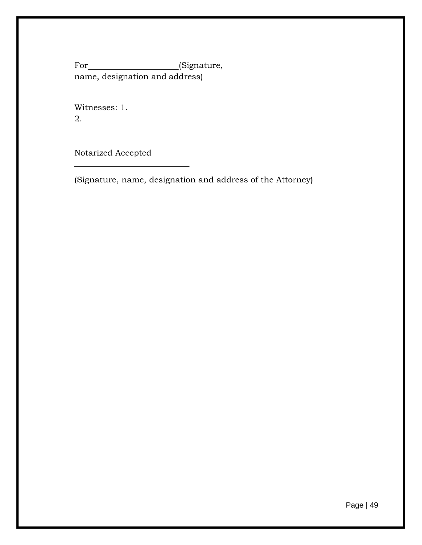For\_\_\_\_\_\_\_\_\_\_\_\_\_\_\_\_\_\_\_\_\_(Signature, name, designation and address)

Witnesses: 1. 2.

Notarized Accepted

(Signature, name, designation and address of the Attorney)

Page | 49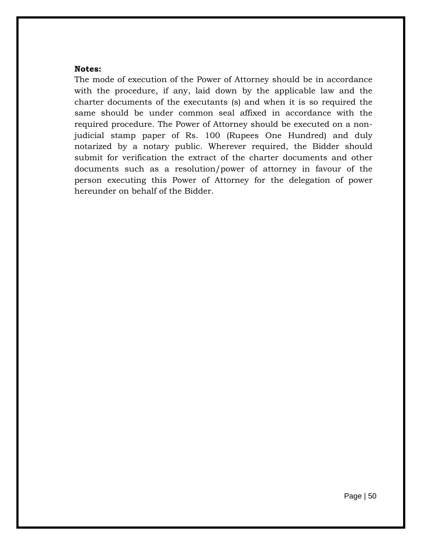#### **Notes:**

The mode of execution of the Power of Attorney should be in accordance with the procedure, if any, laid down by the applicable law and the charter documents of the executants (s) and when it is so required the same should be under common seal affixed in accordance with the required procedure. The Power of Attorney should be executed on a nonjudicial stamp paper of Rs. 100 (Rupees One Hundred) and duly notarized by a notary public. Wherever required, the Bidder should submit for verification the extract of the charter documents and other documents such as a resolution/power of attorney in favour of the person executing this Power of Attorney for the delegation of power hereunder on behalf of the Bidder.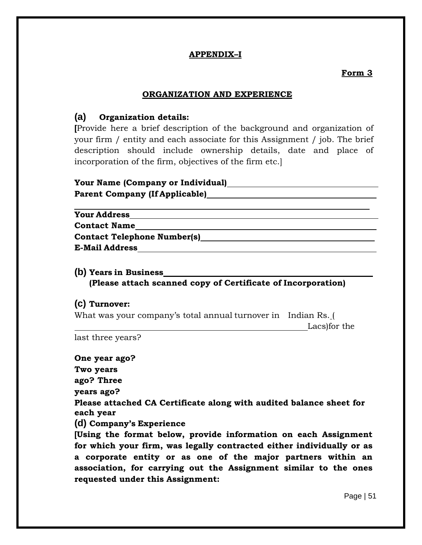#### **APPENDIX–I**

#### **Form 3**

#### **ORGANIZATION AND EXPERIENCE**

# **(a) Organization details:**

**[**Provide here a brief description of the background and organization of your firm / entity and each associate for this Assignment / job. The brief description should include ownership details, date and place of incorporation of the firm, objectives of the firm etc.]

| Your Name (Company or Individual)     |  |
|---------------------------------------|--|
| <b>Parent Company (If Applicable)</b> |  |

| <b>Your Address</b>                |  |
|------------------------------------|--|
| <b>Contact Name</b>                |  |
| <b>Contact Telephone Number(s)</b> |  |
| <b>E-Mail Address</b>              |  |

**(b) Years in Business (Please attach scanned copy of Certificate of Incorporation)**

#### **(c) Turnover:**

What was your company's total annual turnover in Indian Rs. (

Lacs)for the

last three years?

**One year ago?** 

**requested under this Assignment:**

**Two years ago? Three years ago? Please attached CA Certificate along with audited balance sheet for each year (d) Company's Experience [Using the format below, provide information on each Assignment for which your firm, was legally contracted either individually or as a corporate entity or as one of the major partners within an association, for carrying out the Assignment similar to the ones**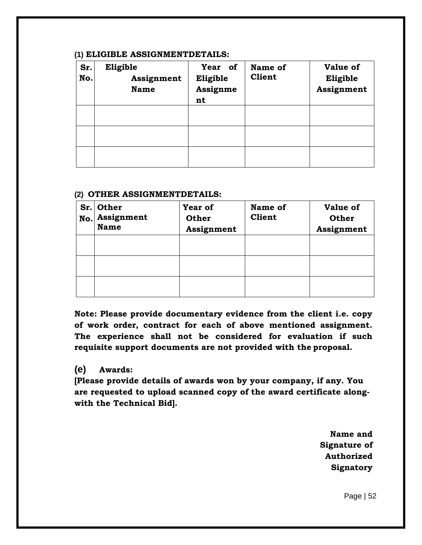#### **(1) ELIGIBLE ASSIGNMENTDETAILS:**

| Sr.<br>No. | Eligible<br>Assignment<br><b>Name</b> | Year of<br>Eligible<br>Assignme<br>nt | Name of<br><b>Client</b> | <b>Value of</b><br>Eligible<br>Assignment |
|------------|---------------------------------------|---------------------------------------|--------------------------|-------------------------------------------|
|            |                                       |                                       |                          |                                           |
|            |                                       |                                       |                          |                                           |
|            |                                       |                                       |                          |                                           |

#### **(2) OTHER ASSIGNMENTDETAILS:**

| No. | Sr. Other<br>Assignment<br><b>Name</b> | Year of<br><b>Other</b><br>Assignment | Name of<br><b>Client</b> | <b>Value of</b><br><b>Other</b><br>Assignment |
|-----|----------------------------------------|---------------------------------------|--------------------------|-----------------------------------------------|
|     |                                        |                                       |                          |                                               |
|     |                                        |                                       |                          |                                               |
|     |                                        |                                       |                          |                                               |

**Note: Please provide documentary evidence from the client i.e. copy of work order, contract for each of above mentioned assignment. The experience shall not be considered for evaluation if such requisite support documents are not provided with the proposal.**

#### **(e) Awards:**

**[Please provide details of awards won by your company, if any. You are requested to upload scanned copy of the award certificate alongwith the Technical Bid].**

> **Name and Signature of Authorized Signatory**

> > Page | 52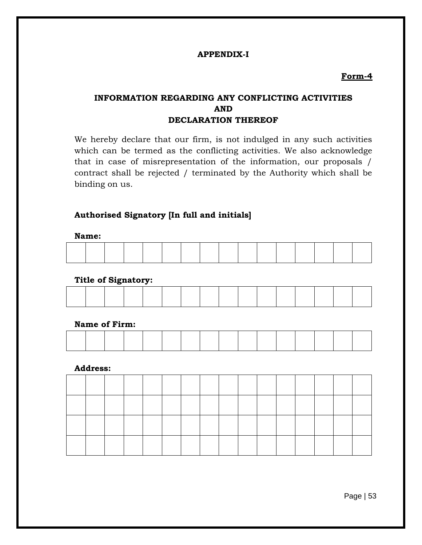#### **APPENDIX-I**

#### **Form-4**

# **INFORMATION REGARDING ANY CONFLICTING ACTIVITIES AND DECLARATION THEREOF**

We hereby declare that our firm, is not indulged in any such activities which can be termed as the conflicting activities. We also acknowledge that in case of misrepresentation of the information, our proposals / contract shall be rejected / terminated by the Authority which shall be binding on us.

#### **Authorised Signatory [In full and initials]**

**Name:**

|  |  |  | and the contract of the contract of the contract of the contract of the contract of the contract of the contract of |  |  |  |  |
|--|--|--|---------------------------------------------------------------------------------------------------------------------|--|--|--|--|

#### **Title of Signatory:**

#### **Name of Firm:**

#### **Address:**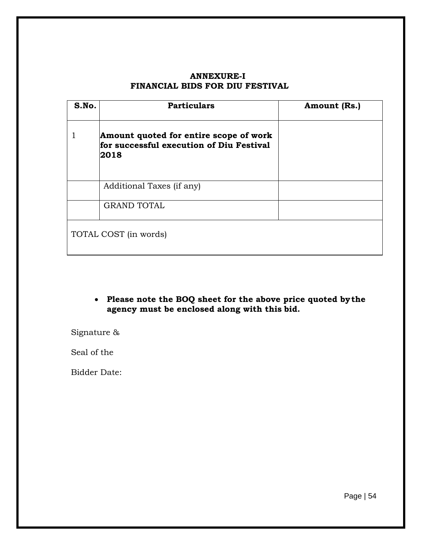#### **ANNEXURE-I FINANCIAL BIDS FOR DIU FESTIVAL**

| S.No. | <b>Particulars</b>                                                                         | Amount (Rs.) |
|-------|--------------------------------------------------------------------------------------------|--------------|
|       | Amount quoted for entire scope of work<br>for successful execution of Diu Festival<br>2018 |              |
|       | Additional Taxes (if any)                                                                  |              |
|       | <b>GRAND TOTAL</b>                                                                         |              |
|       | TOTAL COST (in words)                                                                      |              |

 **Please note the BOQ sheet for the above price quoted bythe agency must be enclosed along with this bid.**

Signature &

Seal of the

Bidder Date: